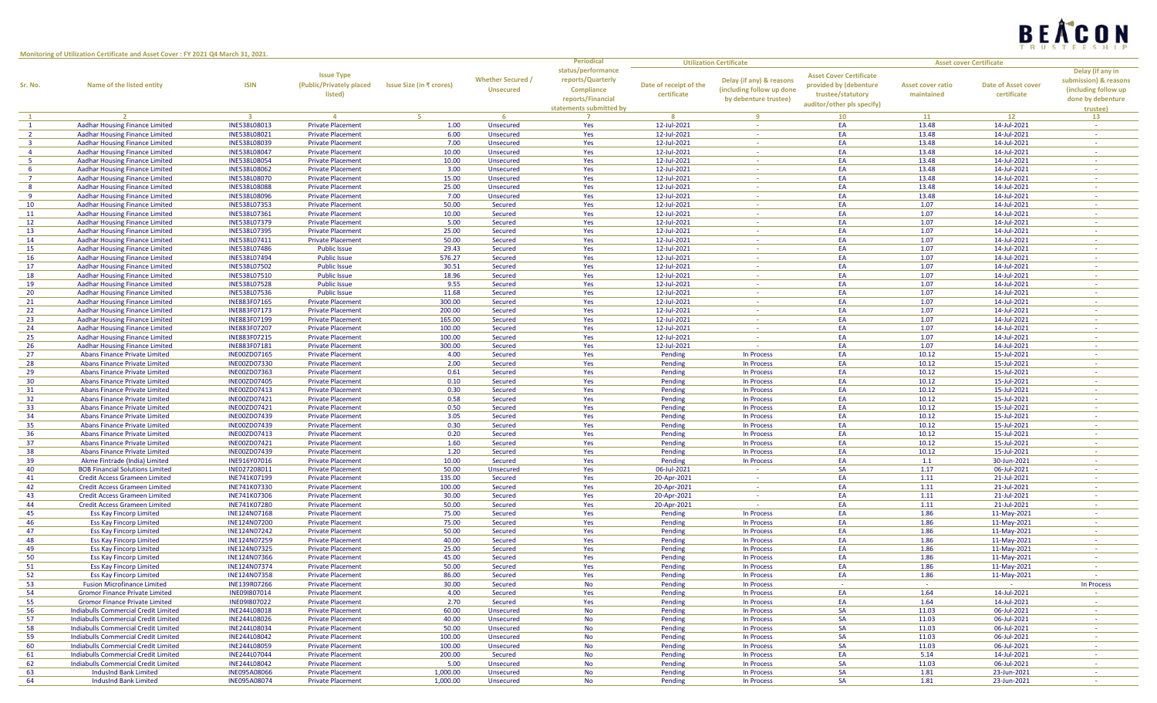

**Monitoring of Utilization Certificate and Asset Cover : FY 2021 Q4 March 31, 2021.**

|                | Periodical<br><b>Utilization Certificate</b><br><b>Asset cover Certificate</b> |                         |                          |                          |                          |                         |                        |                           |                                |                          |                     |                       |
|----------------|--------------------------------------------------------------------------------|-------------------------|--------------------------|--------------------------|--------------------------|-------------------------|------------------------|---------------------------|--------------------------------|--------------------------|---------------------|-----------------------|
|                |                                                                                |                         |                          |                          |                          | status/performance      |                        |                           |                                |                          |                     | Delay (if any in      |
|                |                                                                                |                         | <b>Issue Type</b>        |                          | <b>Whether Secured /</b> | reports/Quarterly       |                        | Delay (if any) & reasons  | <b>Asset Cover Certificate</b> |                          |                     | submission) & reasons |
| Sr. No.        | Name of the listed entity                                                      | <b>ISIN</b>             | (Public/Privately placed | Issue Size (in ₹ crores) | <b>Unsecured</b>         | Compliance              | Date of receipt of the | (including follow up done | provided by (debenture         | <b>Asset cover ratio</b> | Date of Asset cover | (including follow up  |
|                |                                                                                |                         | listed)                  |                          |                          |                         | certificate            |                           | trustee/statutory              | maintained               | certificate         |                       |
|                |                                                                                |                         |                          |                          |                          | reports/Financial       |                        | by debenture trustee)     | auditor/other pls specify)     |                          |                     | done by debenture     |
|                |                                                                                |                         |                          |                          |                          | statements submitted by |                        |                           |                                |                          |                     | trustee)              |
|                | $\overline{2}$                                                                 | $\overline{\mathbf{3}}$ | $\overline{4}$           | -5                       | 6                        |                         | - 8                    | 9                         | 10                             | 11                       | 12                  | 13                    |
|                | Aadhar Housing Finance Limited                                                 | INE538L08013            | <b>Private Placement</b> | 1.00                     | Unsecured                | Yes                     | 12-Jul-2021            | na.                       | EA                             | 13.48                    | 14-Jul-2021         | $\sim$ $\sim$         |
| $\overline{2}$ | Aadhar Housing Finance Limited                                                 | INE538L08021            | <b>Private Placement</b> | 6.00                     | Unsecured                | Yes                     | 12-Jul-2021            | $\sim$                    | EA                             | 13.48                    | 14-Jul-2021         |                       |
|                | Aadhar Housing Finance Limited                                                 | INE538L08039            | <b>Private Placement</b> | 7.00                     | Unsecured                | Yes                     | 12-Jul-2021            | $\sim$                    | EA                             | 13.48                    | 14-Jul-2021         |                       |
|                | <b>Aadhar Housing Finance Limited</b>                                          | INE538L08047            | <b>Private Placement</b> | 10.00                    | Unsecured                | Yes                     | 12-Jul-2021            | $\sim$                    | EA                             | 13.48                    | 14-Jul-2021         |                       |
|                | Aadhar Housing Finance Limited                                                 | INE538L08054            | <b>Private Placement</b> | 10.00                    | Unsecured                | Yes                     | 12-Jul-2021            | $\sim$                    | EA                             | 13.48                    | 14-Jul-2021         |                       |
|                | Aadhar Housing Finance Limited                                                 | INE538L08062            | <b>Private Placement</b> | 3.00                     | Unsecured                | Yes                     | 12-Jul-2021            | $\sim$                    | EA                             | 13.48                    | 14-Jul-2021         |                       |
|                | Aadhar Housing Finance Limited                                                 |                         |                          |                          |                          |                         |                        |                           | EA                             |                          |                     |                       |
|                |                                                                                | INE538L08070            | <b>Private Placement</b> | 15.00                    | Unsecured                | Yes                     | 12-Jul-2021            |                           |                                | 13.48                    | 14-Jul-2021         |                       |
|                | Aadhar Housing Finance Limited                                                 | INE538L08088            | <b>Private Placement</b> | 25.00                    | Unsecured                | Yes                     | 12-Jul-2021            | $\sim$ $-$                | EA                             | 13.48                    | 14-Jul-2021         |                       |
| <b>q</b>       | Aadhar Housing Finance Limited                                                 | INE538L08096            | <b>Private Placement</b> | 7.00                     | Unsecured                | Yes                     | 12-Jul-2021            | $\sim$                    | EA                             | 13.48                    | 14-Jul-2021         |                       |
| 10             | <b>Aadhar Housing Finance Limited</b>                                          | INE538L07353            | <b>Private Placement</b> | 50.00                    | Secured                  | Yes                     | 12-Jul-2021            | $\sim$ $\sim$             | EA                             | 1.07                     | 14-Jul-2021         |                       |
| 11             | Aadhar Housing Finance Limited                                                 | INE538L07361            | <b>Private Placement</b> | 10.00                    | Secured                  | Yes                     | 12-Jul-2021            | <b>Section</b>            | EA                             | 1.07                     | 14-Jul-2021         |                       |
| 12             | Aadhar Housing Finance Limited                                                 | INE538L07379            | <b>Private Placement</b> | 5.00                     | Secured                  | Yes                     | 12-Jul-2021            | na.                       | EA                             | 1.07                     | 14-Jul-2021         |                       |
| 13             | Aadhar Housing Finance Limited                                                 | INE538L07395            | <b>Private Placement</b> | 25.00                    | Secured                  | Yes                     | 12-Jul-2021            | $\sim$                    | EA                             | 1.07                     | 14-Jul-2021         |                       |
| 14             | <b>Aadhar Housing Finance Limited</b>                                          | INE538L07411            | <b>Private Placement</b> | 50.00                    | Secured                  | Yes                     | 12-Jul-2021            | $\sim$                    | EA                             | 1.07                     | 14-Jul-2021         |                       |
| 15             | Aadhar Housing Finance Limited                                                 | INE538L07486            | <b>Public Issue</b>      | 29.43                    | Secured                  | Yes                     | 12-Jul-2021            | $\sim$ $-$                | EA                             | 1.07                     | 14-Jul-2021         |                       |
| 16             | Aadhar Housing Finance Limited                                                 | INE538L07494            |                          | 576.27                   | Secured                  |                         | 12-Jul-2021            |                           | EA                             | 1.07                     | 14-Jul-2021         |                       |
|                |                                                                                |                         | <b>Public Issue</b>      |                          |                          | Yes                     |                        |                           |                                |                          |                     |                       |
| 17             | Aadhar Housing Finance Limited                                                 | INE538L07502            | <b>Public Issue</b>      | 30.51                    | Secured                  | Yes                     | 12-Jul-2021            | $\sim$ $\sim$             | EA                             | 1.07                     | 14-Jul-2021         |                       |
| 18             | Aadhar Housing Finance Limited                                                 | INE538L07510            | <b>Public Issue</b>      | 18.96                    | Secured                  | Yes                     | 12-Jul-2021            | $\sim$                    | EA                             | 1.07                     | 14-Jul-2021         |                       |
| 19             | Aadhar Housing Finance Limited                                                 | INE538L07528            | <b>Public Issue</b>      | 9.55                     | Secured                  | Yes                     | 12-Jul-2021            | $\sim$ $\sim$             | EA                             | 1.07                     | 14-Jul-2021         |                       |
| 20             | <b>Aadhar Housing Finance Limited</b>                                          | INE538L07536            | <b>Public Issue</b>      | 11.68                    | Secured                  | Yes                     | 12-Jul-2021            | <b>Section</b>            | EA                             | 1.07                     | 14-Jul-2021         |                       |
| 21             | <b>Aadhar Housing Finance Limited</b>                                          | INE883F07165            | <b>Private Placement</b> | 300.00                   | Secured                  | Yes                     | 12-Jul-2021            | $\sim$                    | EA                             | 1.07                     | 14-Jul-2021         |                       |
| 22             | Aadhar Housing Finance Limited                                                 | INE883F07173            | <b>Private Placement</b> | 200.00                   | Secured                  | Yes                     | 12-Jul-2021            | 1979                      | EA                             | 1.07                     | 14-Jul-2021         | $\sim$                |
| 23             | Aadhar Housing Finance Limited                                                 | INE883F07199            | <b>Private Placement</b> | 165.00                   | Secured                  | Yes                     | 12-Jul-2021            |                           | EA                             | 1.07                     | 14-Jul-2021         |                       |
| 24             | Aadhar Housing Finance Limited                                                 | INE883F07207            | <b>Private Placement</b> | 100.00                   | Secured                  | Yes                     | 12-Jul-2021            | $\sim$                    | EA                             | 1.07                     | 14-Jul-2021         |                       |
| 25             | Aadhar Housing Finance Limited                                                 | INE883F07215            | <b>Private Placement</b> | 100.00                   | Secured                  | Yes                     | 12-Jul-2021            | $\sim$                    | EA                             | 1.07                     | 14-Jul-2021         |                       |
|                |                                                                                |                         |                          |                          |                          |                         |                        | na.                       |                                |                          |                     |                       |
| 26             | Aadhar Housing Finance Limited                                                 | INE883F07181            | <b>Private Placement</b> | 300.00                   | Secured                  | Yes                     | 12-Jul-2021            |                           | EA                             | 1.07                     | 14-Jul-2021         |                       |
| 27             | Abans Finance Private Limited                                                  | <b>INE00ZD07165</b>     | <b>Private Placement</b> | 4.00                     | Secured                  | Yes                     | Pending                | In Process                | EA                             | 10.12                    | 15-Jul-2021         |                       |
| 28             | Abans Finance Private Limited                                                  | <b>INE00ZD07330</b>     | <b>Private Placement</b> | 2.00                     | Secured                  | Yes                     | Pending                | In Process                | EA                             | 10.12                    | 15-Jul-2021         |                       |
| 29             | Abans Finance Private Limited                                                  | <b>INE00ZD07363</b>     | <b>Private Placement</b> | 0.61                     | Secured                  | Yes                     | Pending                | In Process                | EA                             | 10.12                    | 15-Jul-2021         |                       |
| 30             | Abans Finance Private Limited                                                  | <b>INE00ZD07405</b>     | <b>Private Placement</b> | 0.10                     | Secured                  | Yes                     | Pending                | In Process                | EA                             | 10.12                    | 15-Jul-2021         |                       |
| 31             | Abans Finance Private Limited                                                  | <b>INE00ZD07413</b>     | <b>Private Placement</b> | 0.30                     | Secured                  | Yes                     | Pending                | <b>In Process</b>         | EA                             | 10.12                    | 15-Jul-2021         |                       |
| 32             | Abans Finance Private Limited                                                  | <b>INE00ZD07421</b>     | <b>Private Placement</b> | 0.58                     | Secured                  | Yes                     | Pending                | In Process                | EA                             | 10.12                    | 15-Jul-2021         |                       |
| 33             | Abans Finance Private Limited                                                  | <b>INE00ZD07421</b>     | <b>Private Placement</b> | 0.50                     | Secured                  | Yes                     | Pending                | In Process                | EA                             | 10.12                    | 15-Jul-2021         |                       |
| 34             | Abans Finance Private Limited                                                  | <b>INE00ZD07439</b>     | <b>Private Placement</b> | 3.05                     | Secured                  | Yes                     | Pending                | In Process                | EA                             | 10.12                    | 15-Jul-2021         | <b>Section</b>        |
| 35             |                                                                                | <b>INE00ZD07439</b>     |                          | 0.30                     |                          |                         |                        | In Process                | EA                             | 10.12                    | 15-Jul-2021         |                       |
|                | Abans Finance Private Limited                                                  |                         | <b>Private Placement</b> |                          | Secured                  | Yes                     | Pending                |                           |                                |                          |                     |                       |
| 36             | Abans Finance Private Limited                                                  | <b>INE00ZD07413</b>     | <b>Private Placement</b> | 0.20                     | Secured                  | Yes                     | Pending                | In Process                | EA                             | 10.12                    | 15-Jul-2021         |                       |
| 37             | Abans Finance Private Limited                                                  | INE00ZD07421            | <b>Private Placement</b> | 1.60                     | Secured                  | Yes                     | Pending                | In Process                | EA                             | 10.12                    | 15-Jul-2021         |                       |
| 38             | Abans Finance Private Limited                                                  | <b>INE00ZD07439</b>     | <b>Private Placement</b> | 1.20                     | Secured                  | Yes                     | Pending                | In Process                | EA                             | 10.12                    | 15-Jul-2021         |                       |
| 39             | Akme Fintrade (India) Limited                                                  | INE916Y07016            | <b>Private Placement</b> | 10.00                    | Secured                  | Yes                     | Pending                | <b>In Process</b>         | EA                             | 1.1                      | 30-Jun-2021         |                       |
| 40             | <b>BOB Financial Solutions Limited</b>                                         | INE027208011            | <b>Private Placement</b> | 50.00                    | Unsecured                | Yes                     | 06-Jul-2021            | $\sim$                    | SA                             | 1.17                     | 06-Jul-2021         |                       |
| 41             | <b>Credit Access Grameen Limited</b>                                           | INE741K07199            | <b>Private Placement</b> | 135.00                   | Secured                  | Yes                     | 20-Apr-2021            |                           | EA                             | 1.11                     | 21-Jul-2021         |                       |
| 42             | <b>Credit Access Grameen Limited</b>                                           | INE741K07330            | <b>Private Placement</b> | 100.00                   | Secured                  | Yes                     | 20-Apr-2021            | $\sim$ $\sim$             | EA                             | 1.11                     | 21-Jul-2021         |                       |
| 43             | <b>Credit Access Grameen Limited</b>                                           | INE741K07306            | <b>Private Placement</b> | 30.00                    | Secured                  | Yes                     | 20-Apr-2021            | $\sim$                    | EA                             | 1.11                     | 21-Jul-2021         |                       |
| 44             | <b>Credit Access Grameen Limited</b>                                           | INE741K07280            | <b>Private Placement</b> | 50.00                    | Secured                  | Yes                     | 20-Apr-2021            | $\sim$                    | EA                             | 1.11                     | 21-Jul-2021         |                       |
|                |                                                                                |                         |                          |                          |                          |                         |                        |                           |                                |                          |                     |                       |
| 45             | <b>Ess Kay Fincorp Limited</b>                                                 | INE124N07168            | <b>Private Placement</b> | 75.00                    | Secured                  | Yes                     | Pending                | In Process                | EA                             | 1.86                     | 11-May-2021         |                       |
| 46             | <b>Ess Kay Fincorp Limited</b>                                                 | INE124N07200            | <b>Private Placement</b> | 75.00                    | Secured                  | Yes                     | Pending                | <b>In Process</b>         | EA                             | 1.86                     | 11-May-2021         |                       |
| 47             | <b>Ess Kay Fincorp Limited</b>                                                 | INE124N07242            | <b>Private Placement</b> | 50.00                    | Secured                  | Yes                     | Pending                | In Process                | EA                             | 1.86                     | 11-May-2021         |                       |
| 48             | <b>Ess Kay Fincorp Limited</b>                                                 | INE124N07259            | <b>Private Placement</b> | 40.00                    | Secured                  | Yes                     | Pending                | <b>In Process</b>         | EA                             | 1.86                     | 11-May-2021         |                       |
| 49             | <b>Ess Kay Fincorp Limited</b>                                                 | INE124N07325            | <b>Private Placement</b> | 25.00                    | Secured                  | Yes                     | Pending                | <b>In Process</b>         | EA                             | 1.86                     | 11-May-2021         |                       |
| 50             | <b>Ess Kay Fincorp Limited</b>                                                 | INE124N07366            | <b>Private Placement</b> | 45.00                    | Secured                  | Yes                     | Pending                | <b>In Process</b>         | EA                             | 1.86                     | 11-May-2021         |                       |
| 51             | <b>Ess Kay Fincorp Limited</b>                                                 | INE124N07374            | <b>Private Placement</b> | 50.00                    | Secured                  | Yes                     | Pending                | In Process                | EA                             | 1.86                     | 11-May-2021         | $\sim$ $\sim$         |
| 52             | Ess Kay Fincorp Limited                                                        | INE124N07358            | <b>Private Placement</b> | 86.00                    | Secured                  | Yes                     | Pending                | In Process                | EA.                            | 1.86                     | 11-May-2021         |                       |
| 53             | <b>Fusion Microfinance Limited</b>                                             | INE139R07266            | <b>Private Placement</b> | 30.00                    | Secured                  | No                      | Pending                | In Process                |                                |                          |                     | <b>In Process</b>     |
| 54             | <b>Gromor Finance Private Limited</b>                                          | INE09I807014            | <b>Private Placement</b> | 4.00                     |                          |                         | Pending                | In Process                | EA                             | 1.64                     |                     |                       |
|                |                                                                                |                         |                          |                          | Secured                  | Yes                     |                        |                           |                                |                          | 14-Jul-2021         |                       |
| 55             | <b>Gromor Finance Private Limited</b>                                          | INE091807022            | <b>Private Placement</b> | 2.70                     | Secured                  | Yes                     | Pending                | In Process                | EA                             | 1.64                     | 14-Jul-2021         |                       |
| 56             | Indiabulls Commercial Credit Limited                                           | INE244L08018            | <b>Private Placement</b> | 60.00                    | Unsecured                | No                      | Pending                | In Process                | SA                             | 11.03                    | 06-Jul-2021         |                       |
| 57             | Indiabulls Commercial Credit Limited                                           | INE244L08026            | <b>Private Placement</b> | 40.00                    | Unsecured                | No                      | Pending                | In Process                | SA                             | 11.03                    | 06-Jul-2021         |                       |
| 58             | Indiabulls Commercial Credit Limited                                           | INE244L08034            | <b>Private Placement</b> | 50.00                    | Unsecured                | No                      | Pending                | In Process                | SA                             | 11.03                    | 06-Jul-2021         | $\sim$ $\sim$         |
| 59             | Indiabulls Commercial Credit Limited                                           | INE244L08042            | <b>Private Placement</b> | 100.00                   | Unsecured                | No                      | Pending                | In Process                | <b>SA</b>                      | 11.03                    | 06-Jul-2021         | $\sim$                |
| 60             | Indiabulls Commercial Credit Limited                                           | INE244L08059            | <b>Private Placement</b> | 100.00                   | Unsecured                | No                      | Pending                | In Process                | <b>SA</b>                      | 11.03                    | 06-Jul-2021         |                       |
| 61             | Indiabulls Commercial Credit Limited                                           | INE244L07044            | <b>Private Placement</b> | 200.00                   | Secured                  | No                      | Pending                | In Process                | EA                             | 5.14                     | 14-Jul-2021         |                       |
| 62             | Indiabulls Commercial Credit Limited                                           | INE244L08042            | <b>Private Placement</b> | 5.00                     | Unsecured                | No                      | Pending                | In Process                | <b>SA</b>                      | 11.03                    | 06-Jul-2021         |                       |
| 63             | IndusInd Bank Limited                                                          | <b>INE095A08066</b>     | <b>Private Placement</b> | 1,000.00                 | Unsecured                | No                      | Pending                | In Process                | <b>SA</b>                      | 1.81                     | 23-Jun-2021         | $\sim$                |
|                |                                                                                |                         |                          |                          |                          |                         |                        |                           |                                |                          |                     |                       |
| 64             | <b>IndusInd Bank Limited</b>                                                   | INE095A08074            | <b>Private Placement</b> | 1,000.00                 | Unsecured                | No                      | Pending                | In Process                | <b>SA</b>                      | 1.81                     | 23-Jun-2021         |                       |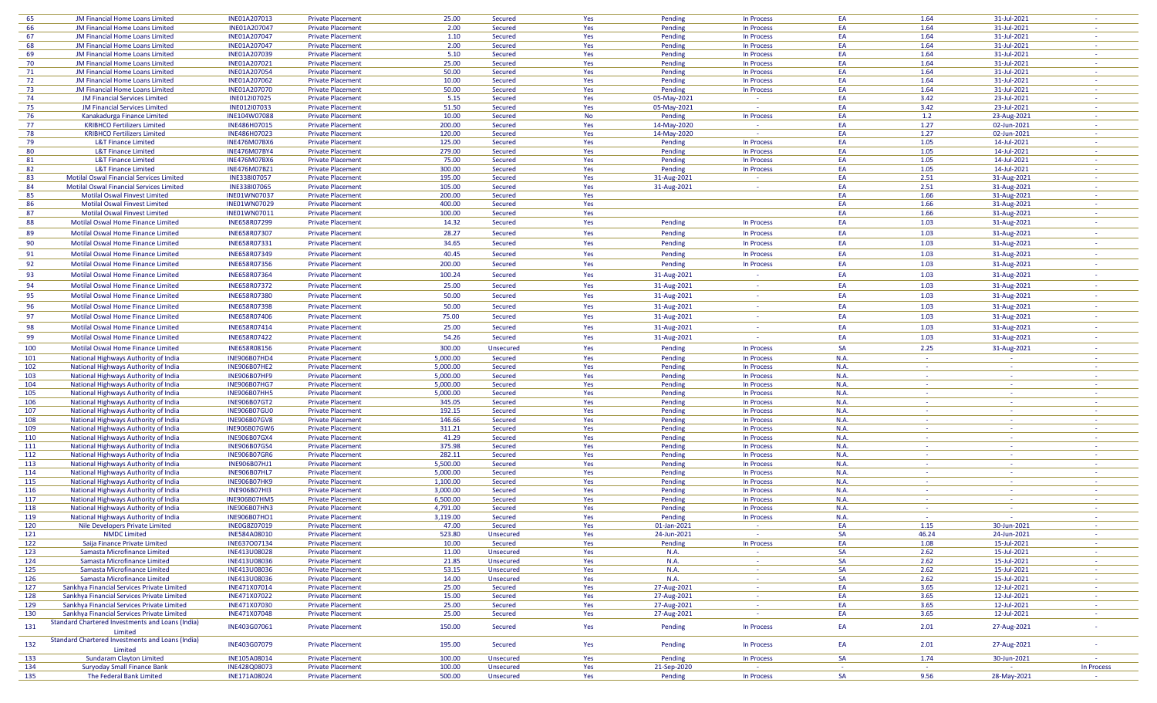| 65  | <b>JM Financial Home Loans Limited</b>           | INE01A207013        | <b>Private Placement</b> | 25.00    | Secured          | Yes       | Pending                    | In Process        | EA        | 1.64           | 31-Jul-2021    |                 |
|-----|--------------------------------------------------|---------------------|--------------------------|----------|------------------|-----------|----------------------------|-------------------|-----------|----------------|----------------|-----------------|
| 66  | JM Financial Home Loans Limited                  | INE01A207047        | <b>Private Placement</b> | 2.00     | Secured          | Yes       | Pending                    | In Process        | EA        | 1.64           | 31-Jul-2021    | $\sim$          |
| 67  | JM Financial Home Loans Limited                  | INE01A207047        | <b>Private Placement</b> | 1.10     | Secured          | Yes       | Pending                    | In Process        | EA        | 1.64           | 31-Jul-2021    |                 |
| 68  | JM Financial Home Loans Limited                  | INE01A207047        | <b>Private Placement</b> | 2.00     | Secured          | Yes       | Pending                    | In Process        | EA        | 1.64           | 31-Jul-2021    | na.             |
| 69  | JM Financial Home Loans Limited                  | INE01A207039        | <b>Private Placement</b> | 5.10     | Secured          | Yes       | Pending                    | In Process        | EA        | 1.64           | 31-Jul-2021    | $\sim$          |
| 70  | JM Financial Home Loans Limited                  | INE01A207021        | <b>Private Placement</b> | 25.00    | Secured          | Yes       | Pending                    | In Process        | EA        | 1.64           | 31-Jul-2021    | $\sim$          |
| 71  | JM Financial Home Loans Limited                  | INE01A207054        | <b>Private Placement</b> | 50.00    | Secured          | Yes       | Pending                    | In Process        | EA        | 1.64           | 31-Jul-2021    | $\sim$          |
| 72  | JM Financial Home Loans Limited                  | INE01A207062        | <b>Private Placement</b> | 10.00    | Secured          | Yes       | Pending                    | In Process        | EA        | 1.64           | 31-Jul-2021    | $\sim$          |
| 73  | JM Financial Home Loans Limited                  | INE01A207070        | <b>Private Placement</b> | 50.00    | Secured          | Yes       | Pending                    | In Process        | EA        | 1.64           | 31-Jul-2021    | $\sim$          |
| 74  | <b>JM Financial Services Limited</b>             | INE012I07025        | <b>Private Placement</b> | 5.15     | Secured          | Yes       | 05-May-2021                | $\sim$            | EA        | 3.42           | 23-Jul-2021    |                 |
| 75  | <b>JM Financial Services Limited</b>             | INE012I07033        | <b>Private Placement</b> | 51.50    | Secured          | Yes       | 05-May-2021                | <b>College</b>    | EA        | 3.42           | 23-Jul-2021    | na.             |
| 76  | Kanakadurga Finance Limited                      | INE104W07088        | <b>Private Placement</b> | 10.00    | Secured          | <b>No</b> | Pending                    | In Process        | EA        | 1.2            | 23-Aug-2021    | $\sim$          |
| 77  | <b>KRIBHCO Fertilizers Limited</b>               | INE486H07015        | <b>Private Placement</b> | 200.00   | Secured          | Yes       | 14-May-2020                | $\sim$            | EA        | 1.27           | 02-Jun-2021    |                 |
| 78  | <b>KRIBHCO Fertilizers Limited</b>               | INE486H07023        | <b>Private Placement</b> | 120.00   | Secured          | Yes       | 14-May-2020                | $\sim$            | EA        | 1.27           | 02-Jun-2021    | $\sim$          |
| 79  | <b>L&amp;T Finance Limited</b>                   | <b>INE476M07BX6</b> | <b>Private Placement</b> | 125.00   | Secured          | Yes       | Pending                    | In Process        | EA        | 1.05           | 14-Jul-2021    |                 |
| 80  | <b>L&amp;T Finance Limited</b>                   | <b>INE476M07BY4</b> | <b>Private Placement</b> | 279.00   | Secured          | Yes       | Pending                    | In Process        | EA        | 1.05           | 14-Jul-2021    | $\sim$          |
| 81  | <b>L&amp;T Finance Limited</b>                   | <b>INE476M07BX6</b> | <b>Private Placement</b> | 75.00    | Secured          | Yes       | Pending                    | In Process        | EA        | 1.05           | 14-Jul-2021    |                 |
| 82  | <b>L&amp;T Finance Limited</b>                   | <b>INE476M07BZ1</b> | <b>Private Placement</b> | 300.00   | Secured          | Yes       | Pending                    | In Process        | EA        | 1.05           | 14-Jul-2021    | $\sim$          |
| 83  | Motilal Oswal Financial Services Limited         | INE338I07057        | <b>Private Placement</b> | 195.00   | Secured          | Yes       | 31-Aug-2021                | $\sim$            | EA        | 2.51           | 31-Aug-2021    |                 |
| 84  | Motilal Oswal Financial Services Limited         | INE338107065        | <b>Private Placement</b> | 105.00   | Secured          | Yes       | 31-Aug-2021                | <b>College</b>    | EA        | 2.51           | 31-Aug-2021    | na.             |
| 85  | Motilal Oswal Finvest Limited                    | INE01WN07037        | <b>Private Placement</b> | 200.00   | Secured          | Yes       |                            |                   | EA        | 1.66           | 31-Aug-2021    | $\sim$          |
| 86  | Motilal Oswal Finvest Limited                    | INE01WN07029        | <b>Private Placement</b> | 400.00   | Secured          | Yes       |                            |                   | EA        | 1.66           | 31-Aug-2021    |                 |
| 87  | <b>Motilal Oswal Finvest Limited</b>             | INE01WN07011        | <b>Private Placement</b> | 100.00   | Secured          | Yes       |                            |                   | EA        | 1.66           | 31-Aug-2021    | $\sim$          |
| 88  | Motilal Oswal Home Finance Limited               | INE658R07299        | <b>Private Placement</b> | 14.32    | Secured          | Yes       | Pending                    | In Process        | EA        | 1.03           | 31-Aug-2021    | $\sim$          |
|     |                                                  |                     |                          |          |                  |           |                            |                   |           |                |                |                 |
| 89  | Motilal Oswal Home Finance Limited               | INE658R07307        | <b>Private Placement</b> | 28.27    | Secured          | Yes       | Pending                    | In Process        | EA        | 1.03           | 31-Aug-2021    | $\sim$          |
| 90  | Motilal Oswal Home Finance Limited               | INE658R07331        | <b>Private Placement</b> | 34.65    | Secured          | Yes       | Pending                    | In Process        | EA        | 1.03           | 31-Aug-2021    | $\sim$          |
| 91  | Motilal Oswal Home Finance Limited               | INE658R07349        | <b>Private Placement</b> | 40.45    | Secured          | Yes       | Pending                    | In Process        | EA        | 1.03           | 31-Aug-2021    | $\sim$          |
| 92  | Motilal Oswal Home Finance Limited               | INE658R07356        | <b>Private Placement</b> | 200.00   | Secured          | Yes       | Pending                    | In Process        | EA        | 1.03           | 31-Aug-2021    | $\sim$          |
| 93  | Motilal Oswal Home Finance Limited               | INE658R07364        | <b>Private Placement</b> | 100.24   | Secured          | Yes       | 31-Aug-2021                | $\sim$            | EA        | 1.03           | 31-Aug-2021    | $\sim$          |
|     |                                                  |                     |                          |          |                  |           |                            |                   |           |                |                |                 |
| 94  | Motilal Oswal Home Finance Limited               | INE658R07372        | <b>Private Placement</b> | 25.00    | Secured          | Yes       | 31-Aug-2021                | $\sim 10^{-1}$    | EA        | 1.03           | 31-Aug-2021    | $\sim$          |
| 95  | Motilal Oswal Home Finance Limited               | INE658R07380        | <b>Private Placement</b> | 50.00    | Secured          | Yes       | 31-Aug-2021                | $\sim$            | EA        | 1.03           | 31-Aug-2021    | $\sim$          |
| 96  | Motilal Oswal Home Finance Limited               | INE658R07398        | <b>Private Placement</b> | 50.00    | Secured          | Yes       | 31-Aug-2021                | <b>College</b>    | EA        | 1.03           | 31-Aug-2021    | $\sim$          |
| 97  | Motilal Oswal Home Finance Limited               | INE658R07406        | <b>Private Placement</b> | 75.00    | Secured          | Yes       | 31-Aug-2021                | $\sim$            | EA        | 1.03           | 31-Aug-2021    |                 |
| 98  | Motilal Oswal Home Finance Limited               | INE658R07414        |                          | 25.00    | Secured          | Yes       |                            | $\sim$            | EA        | 1.03           |                | $\sim$          |
|     |                                                  |                     | <b>Private Placement</b> |          |                  |           | 31-Aug-2021                |                   |           |                | 31-Aug-2021    |                 |
| 99  | Motilal Oswal Home Finance Limited               | INE658R07422        | <b>Private Placement</b> | 54.26    | Secured          | Yes       | 31-Aug-2021                | $\sim$            | EA        | 1.03           | 31-Aug-2021    |                 |
| 100 | Motilal Oswal Home Finance Limited               | INE658R08156        | <b>Private Placement</b> | 300.00   | Unsecured        | Yes       | Pending                    | In Process        | SA        | 2.25           | 31-Aug-2021    | $\sim$          |
| 101 | National Highways Authority of India             | <b>INE906B07HD4</b> | <b>Private Placement</b> | 5,000.00 | Secured          | Yes       | Pending                    | In Process        | N.A.      | $\sim 10^{-1}$ | <b>College</b> | $\sim$          |
| 102 | National Highways Authority of India             | <b>INE906B07HE2</b> | <b>Private Placement</b> | 5,000.00 | Secured          | Yes       | Pending                    | In Process        | N.A       | $\sim$         | $\sim$         |                 |
| 103 | National Highways Authority of India             | <b>INE906B07HF9</b> | <b>Private Placement</b> | 5,000.00 | Secured          | Yes       | Pending                    | In Process        | N.A.      | $\sim$         | $\sim$         | $\sim$          |
| 104 | National Highways Authority of India             | <b>INE906B07HG7</b> | <b>Private Placement</b> | 5,000.00 | Secured          | Yes       | Pending                    | In Process        | N.A.      | $\sim$         | $\sim$         |                 |
| 105 | National Highways Authority of India             | <b>INE906B07HH5</b> | <b>Private Placement</b> | 5,000.00 | Secured          | Yes       | Pending                    | In Process        | N.A.      | na.            | $\sim$         |                 |
| 106 | National Highways Authority of India             | <b>INE906B07GT2</b> | <b>Private Placement</b> | 345.05   | Secured          | Yes       | Pending                    | In Process        | N.A.      | $\sim$         | <b>Section</b> |                 |
| 107 | National Highways Authority of India             | <b>INE906B07GU0</b> | <b>Private Placement</b> | 192.15   | Secured          | Yes       | Pending                    | In Process        | N.A.      | $\sim$         | $\sim$         | $\sim$          |
| 108 | National Highways Authority of India             | <b>INE906B07GV8</b> | <b>Private Placement</b> | 146.66   | Secured          | Yes       | Pending                    | In Process        | N.A.      | $\sim$         | $\sim$         | $\sim$          |
| 109 | National Highways Authority of India             | <b>INE906B07GW6</b> | <b>Private Placement</b> | 311.21   | Secured          | Yes       | Pending                    | In Process        | N.A       | $\sim$         | $\sim$         |                 |
| 110 | National Highways Authority of India             | <b>INE906B07GX4</b> | <b>Private Placement</b> | 41.29    | Secured          | Yes       | Pending                    | In Process        | N.A.      | $\sim$         | $\sim$         | $\sim$          |
| 111 | National Highways Authority of India             | <b>INE906B07GS4</b> | <b>Private Placement</b> | 375.98   | Secured          | Yes       | Pending                    | In Process        | N.A.      | $\sim$         |                |                 |
| 112 | National Highways Authority of India             | <b>INE906B07GR6</b> | <b>Private Placement</b> | 282.11   | Secured          | Yes       | Pending                    | In Process        | N.A.      | na.            | $\sim$         |                 |
| 113 | National Highways Authority of India             | INE906B07HJ1        | <b>Private Placement</b> | 5,500.00 | Secured          | Yes       | Pending                    | In Process        | N.A.      | $\sim$         | <b>Section</b> |                 |
| 114 | National Highways Authority of India             | <b>INE906B07HL7</b> | <b>Private Placement</b> | 5,000.00 | Secured          | Yes       | Pending                    | In Process        | N.A.      | $\sim$         | $\sim$         |                 |
| 115 | National Highways Authority of India             | <b>INE906B07HK9</b> | <b>Private Placement</b> | 1,100.00 | Secured          | Yes       | Pending                    | In Process        | N.A.      | $\sim$         | <b>Section</b> |                 |
| 116 | National Highways Authority of India             | <b>INE906B07HI3</b> | <b>Private Placement</b> | 3,000.00 | Secured          | Yes       | Pending                    | In Process        | N.A.      | $\sim$         | $\sim$         |                 |
| 117 | National Highways Authority of India             | <b>INE906B07HM5</b> | <b>Private Placement</b> | 6,500.00 | Secured          | Yes       | Pending                    | In Process        | N.A.      | $\sim$         | <b>Section</b> | $\sim$          |
| 118 | National Highways Authority of India             | <b>INE906B07HN3</b> | <b>Private Placement</b> | 4,791.00 | Secured          | Yes       | Pending                    | <b>In Process</b> | N.A.      |                |                |                 |
| 119 | National Highways Authority of India             | <b>INE906B07HO1</b> | <b>Private Placement</b> | 3,119.00 | Secured          | Yes       | Pending                    | In Process        | N.A       | $\sim$         |                | $\sim$          |
| 120 | Nile Developers Private Limited                  | INE0G8Z07019        | <b>Private Placement</b> | 47.00    | Secured          | Yes       | 01-Jan-2021                |                   | EA        | 1.15           | 30-Jun-2021    |                 |
| 121 | <b>NMDC Limited</b>                              | INE584A08010        | <b>Private Placement</b> | 523.80   | <b>Unsecured</b> | Yes       | 24-Jun-2021                | <b>Section</b>    | SA        | 46.24          | 24-Jun-2021    | $\sim$          |
| 122 | Saija Finance Private Limited                    | INE637007134        | <b>Private Placement</b> | 10.00    | Secured          | Yes       | Pending                    | In Process        | EA        | 1.08           | 15-Jul-2021    | $\sim$          |
| 123 | Samasta Microfinance Limited                     | INE413U08028        | <b>Private Placement</b> | 11.00    | Unsecured        | Yes       | <b>N.A.</b>                | $\sim$            | <b>SA</b> | 2.62           | 15-Jul-2021    | $\sim$          |
| 124 | Samasta Microfinance Limited                     | INE413U08036        | <b>Private Placement</b> | 21.85    | Unsecured        | Yes       | N.A.                       | <b>College</b>    | <b>SA</b> | 2.62           | 15-Jul-2021    | $\sim$ $-$      |
| 125 | Samasta Microfinance Limited                     | INE413U08036        | <b>Private Placement</b> | 53.15    | <b>Unsecured</b> | Yes       | N.A.                       | $\sim$            | <b>SA</b> | 2.62           | 15-Jul-2021    | $\sim$          |
| 126 | Samasta Microfinance Limited                     | INE413U08036        | <b>Private Placement</b> | 14.00    | <b>Unsecured</b> | Yes       | N.A.                       | <b>College</b>    | <b>SA</b> | 2.62           | 15-Jul-2021    | $\sim$          |
| 127 | Sankhya Financial Services Private Limited       | INE471X07014        | <b>Private Placement</b> | 25.00    |                  |           |                            | $\sim$            | EA        | 3.65           |                |                 |
|     |                                                  |                     |                          | 15.00    | Secured          | Yes       | 27-Aug-2021<br>27-Aug-2021 | $\sim 10^{-1}$    | EA        | 3.65           | 12-Jul-2021    | $\sim$          |
| 128 | Sankhya Financial Services Private Limited       | INE471X07022        | <b>Private Placement</b> |          | Secured          | Yes       |                            |                   |           |                | 12-Jul-2021    |                 |
| 129 | Sankhya Financial Services Private Limited       | INE471X07030        | <b>Private Placement</b> | 25.00    | Secured          | Yes       | 27-Aug-2021                | $\sim$            | EA        | 3.65           | 12-Jul-2021    | $\sim$          |
| 130 | Sankhya Financial Services Private Limited       | INE471X07048        | <b>Private Placement</b> | 25.00    | <b>Secured</b>   | Yes       | 27-Aug-2021                | $\sim 10^{-1}$    | EA        | 3.65           | 12-Jul-2021    | $\sim$          |
| 131 | Standard Chartered Investments and Loans (India) | INE403G07061        | <b>Private Placement</b> | 150.00   | Secured          | Yes       | Pending                    | In Process        | EA        | 2.01           | 27-Aug-2021    |                 |
|     | Limited                                          |                     |                          |          |                  |           |                            |                   |           |                |                |                 |
| 132 | Standard Chartered Investments and Loans (India) | INE403G07079        | <b>Private Placement</b> | 195.00   | Secured          | Yes       | Pending                    | In Process        | EA        | 2.01           | 27-Aug-2021    |                 |
|     | Limited                                          |                     |                          |          |                  |           |                            |                   |           |                |                |                 |
| 133 | Sundaram Clayton Limited                         | INE105A08014        | <b>Private Placement</b> | 100.00   | <b>Unsecured</b> | Yes       | Pending                    | In Process        | <b>SA</b> | 1.74           | 30-Jun-2021    | $\sim$          |
| 134 | <b>Suryoday Small Finance Bank</b>               | INE428Q08073        | <b>Private Placement</b> | 100.00   | <b>Unsecured</b> | Yes       | 21-Sep-2020                |                   |           | - 1            |                | In Process      |
| 135 | The Federal Bank Limited                         | INE171A08024        | <b>Private Placement</b> | 500.00   | <b>Unsecured</b> | Yes       | Pending                    | In Process        | SA        | 9.56           | 28-May-2021    | <b>Contract</b> |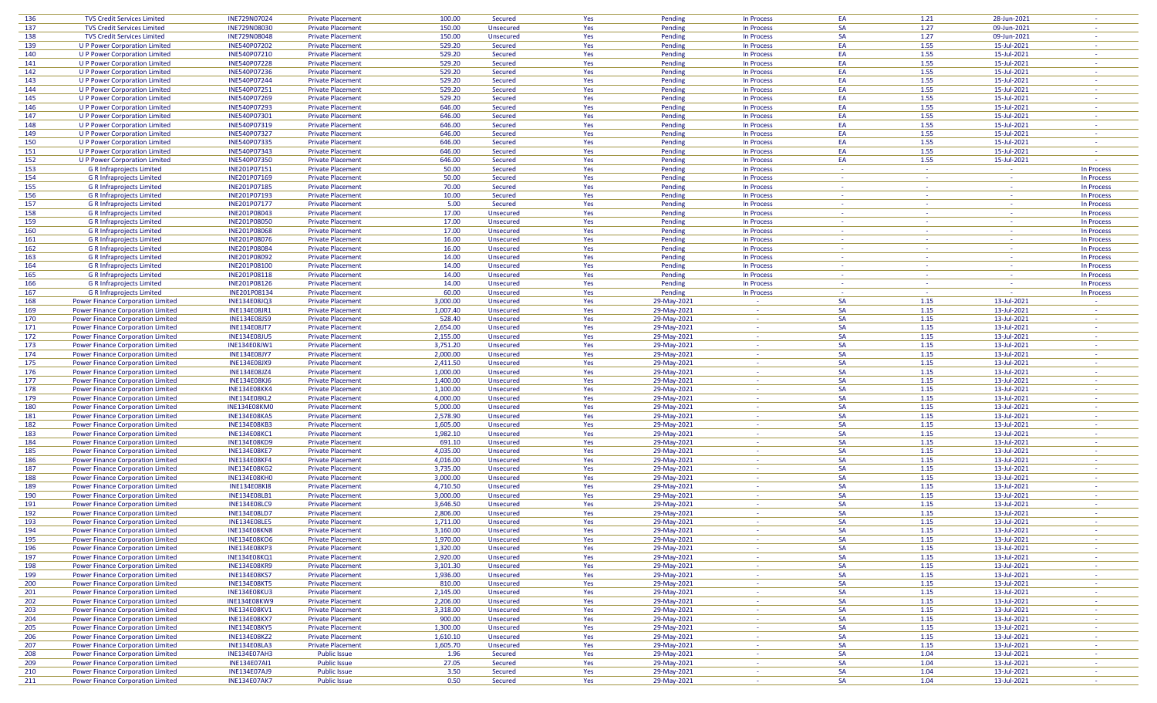| 136 | <b>TVS Credit Services Limited</b>       | INE729N07024        | <b>Private Placement</b> | 100.00   | Secured          | Yes | Pending     | In Process      | EA              | 1.21            | 28-Jun-2021     |                 |
|-----|------------------------------------------|---------------------|--------------------------|----------|------------------|-----|-------------|-----------------|-----------------|-----------------|-----------------|-----------------|
| 137 | <b>TVS Credit Services Limited</b>       | INE729N08030        | <b>Private Placement</b> | 150.00   | <b>Unsecured</b> | Yes | Pending     | In Process      | <b>SA</b>       | 1.27            | 09-Jun-2021     |                 |
|     |                                          |                     |                          |          |                  |     |             |                 |                 |                 |                 |                 |
| 138 | <b>TVS Credit Services Limited</b>       | INE729N08048        | <b>Private Placement</b> | 150.00   | <b>Unsecured</b> | Yes | Pending     | In Process      | <b>SA</b>       | 1.27            | 09-Jun-2021     | $\sim$          |
| 139 | U P Power Corporation Limited            | INE540P07202        | <b>Private Placement</b> | 529.20   | Secured          | Yes | Pending     | In Process      | EA              | 1.55            | 15-Jul-2021     |                 |
| 140 | <b>U P Power Corporation Limited</b>     | INE540P07210        | <b>Private Placement</b> | 529.20   | Secured          | Yes | Pending     | In Process      | EA              | 1.55            | 15-Jul-2021     | $\sim$          |
| 141 | <b>U P Power Corporation Limited</b>     | INE540P07228        | <b>Private Placement</b> | 529.20   | Secured          | Yes | Pending     | In Process      | EA              | 1.55            | 15-Jul-2021     | $\sim$          |
| 142 | <b>U P Power Corporation Limited</b>     | INE540P07236        | <b>Private Placement</b> | 529.20   | Secured          | Yes | Pending     | In Process      | EA              | 1.55            | 15-Jul-2021     | <b>Section</b>  |
| 143 | <b>U P Power Corporation Limited</b>     | INE540P07244        | <b>Private Placement</b> | 529.20   |                  | Yes | Pending     | In Process      | EA              | 1.55            | 15-Jul-2021     | $\sim$          |
|     |                                          |                     |                          |          | Secured          |     |             |                 |                 |                 |                 |                 |
| 144 | <b>U P Power Corporation Limited</b>     | INE540P07251        | <b>Private Placement</b> | 529.20   | Secured          | Yes | Pending     | In Process      | EA              | 1.55            | 15-Jul-2021     |                 |
| 145 | <b>U P Power Corporation Limited</b>     | INE540P07269        | <b>Private Placement</b> | 529.20   | Secured          | Yes | Pending     | In Process      | EA              | 1.55            | 15-Jul-2021     | $\sim$ $-$      |
| 146 | <b>U P Power Corporation Limited</b>     | INE540P07293        | <b>Private Placement</b> | 646.00   | Secured          | Yes | Pending     | In Process      | EA              | 1.55            | 15-Jul-2021     |                 |
| 147 | <b>UP Power Corporation Limited</b>      | INE540P07301        | <b>Private Placement</b> | 646.00   | Secured          | Yes | Pending     | In Process      | EA              | 1.55            | 15-Jul-2021     | $\sim$          |
| 148 | <b>U P Power Corporation Limited</b>     | INE540P07319        | <b>Private Placement</b> | 646.00   | Secured          | Yes | Pending     | In Process      | EA              | 1.55            | 15-Jul-2021     |                 |
|     |                                          |                     |                          |          |                  |     |             |                 |                 |                 |                 | na.             |
| 149 | <b>U P Power Corporation Limited</b>     | INE540P07327        | <b>Private Placement</b> | 646.00   | Secured          | Yes | Pending     | In Process      | EA              | 1.55            | 15-Jul-2021     |                 |
| 150 | <b>U P Power Corporation Limited</b>     | INE540P07335        | <b>Private Placement</b> | 646.00   | Secured          | Yes | Pending     | In Process      | EA              | 1.55            | 15-Jul-2021     | $\sim$          |
| 151 | <b>U P Power Corporation Limited</b>     | INE540P07343        | <b>Private Placement</b> | 646.00   | Secured          | Yes | Pending     | In Process      | EA              | 1.55            | 15-Jul-2021     | $\sim$          |
| 152 | <b>U P Power Corporation Limited</b>     | INE540P07350        | <b>Private Placement</b> | 646.00   | Secured          | Yes | Pending     | In Process      | EA              | 1.55            | 15-Jul-2021     | $\sim$          |
| 153 | <b>G R Infraprojects Limited</b>         | INE201P07151        | <b>Private Placement</b> | 50.00    | Secured          | Yes | Pending     | In Process      | $\sim$          | $\sim$          |                 | In Process      |
| 154 | <b>G R Infraprojects Limited</b>         | INE201P07169        | <b>Private Placement</b> | 50.00    | Secured          | Yes | Pending     | In Process      | $\sim$          | $\sim$ $-$      | $\sim$          | In Process      |
|     |                                          |                     |                          |          |                  |     |             |                 |                 |                 |                 |                 |
| 155 | <b>G R Infraprojects Limited</b>         | INE201P07185        | <b>Private Placement</b> | 70.00    | Secured          | Yes | Pending     | In Process      |                 | $\sim$          |                 | In Process      |
| 156 | <b>G R Infraprojects Limited</b>         | INE201P07193        | <b>Private Placement</b> | 10.00    | Secured          | Yes | Pending     | In Process      | <b>Section</b>  | $\sim$          | $\sim$          | In Process      |
| 157 | <b>G R Infraprojects Limited</b>         | INE201P07177        | <b>Private Placement</b> | 5.00     | Secured          | Yes | Pending     | In Process      | $\sim$          | $\sim$          | <b>Contract</b> | In Process      |
| 158 | <b>G R Infraprojects Limited</b>         | INE201P08043        | <b>Private Placement</b> | 17.00    | Unsecured        | Yes | Pending     | In Process      | <b>Section</b>  | $\sim$          | $\sim$          | In Process      |
| 159 | <b>G R Infraprojects Limited</b>         | INE201P08050        | <b>Private Placement</b> | 17.00    | <b>Unsecured</b> | Yes | Pending     | In Process      | $\sim$          | $\sim$          | <b>Section</b>  | In Process      |
| 160 | <b>G R Infraprojects Limited</b>         | INE201P08068        | <b>Private Placement</b> | 17.00    | Unsecured        | Yes | Pending     | In Process      | $\sim$          | $\sim$          | $\sim$          | In Process      |
|     |                                          |                     |                          |          |                  |     |             |                 |                 |                 |                 |                 |
| 161 | <b>G R Infraprojects Limited</b>         | INE201P08076        | <b>Private Placement</b> | 16.00    | Unsecured        | Yes | Pending     | In Process      | $\sim$          | $\sim$          | $\sim$          | In Process      |
| 162 | <b>G R Infraprojects Limited</b>         | INE201P08084        | <b>Private Placement</b> | 16.00    | Unsecured        | Yes | Pending     | In Process      |                 | $\sim$          | $\sim$          | In Process      |
| 163 | <b>G R Infraprojects Limited</b>         | INE201P08092        | <b>Private Placement</b> | 14.00    | Unsecured        | Yes | Pending     | In Process      | <b>Contract</b> | <b>Contract</b> | <b>Contract</b> | In Process      |
| 164 | <b>G R Infraprojects Limited</b>         | INE201P08100        | <b>Private Placement</b> | 14.00    | Unsecured        | Yes | Pending     | In Process      | $\sim$          | $\sim$          | $\sim$          | In Process      |
| 165 | <b>G R Infraprojects Limited</b>         | INE201P08118        | <b>Private Placement</b> | 14.00    | Unsecured        | Yes | Pending     | In Process      | $\sim$          | na.             | $\sim$          | In Process      |
| 166 | <b>G R Infraprojects Limited</b>         | INE201P08126        | <b>Private Placement</b> | 14.00    | Unsecured        | Yes | Pending     | In Process      | $\sim$          | $\sim$ $-$      | $\sim$          | In Process      |
|     |                                          |                     |                          |          |                  |     |             |                 |                 |                 |                 |                 |
| 167 | <b>G R Infraprojects Limited</b>         | INE201P08134        | <b>Private Placement</b> | 60.00    | Unsecured        | Yes | Pending     | In Process      | $\sim$          | - 11            | <b>Section</b>  | In Process      |
| 168 | <b>Power Finance Corporation Limited</b> | INE134E08JQ3        | <b>Private Placement</b> | 3,000.00 | Unsecured        | Yes | 29-May-2021 | $\sim$          | <b>SA</b>       | 1.15            | 13-Jul-2021     | <b>Contract</b> |
| 169 | <b>Power Finance Corporation Limited</b> | INE134E08JR1        | <b>Private Placement</b> | 1,007.40 | Unsecured        | Yes | 29-May-2021 | $\sim$          | <b>SA</b>       | 1.15            | 13-Jul-2021     | n a             |
| 170 | <b>Power Finance Corporation Limited</b> | <b>INE134E08JS9</b> | <b>Private Placement</b> | 528.40   | Unsecured        | Yes | 29-May-2021 | 187             | <b>SA</b>       | 1.15            | 13-Jul-2021     | $\sim$ $-$      |
| 171 | <b>Power Finance Corporation Limited</b> | <b>INE134E08JT7</b> | <b>Private Placement</b> | 2,654.00 | Unsecured        | Yes | 29-May-2021 | $\sim$          | <b>SA</b>       | 1.15            | 13-Jul-2021     | $\sim$          |
| 172 | <b>Power Finance Corporation Limited</b> | <b>INE134E08JU5</b> | <b>Private Placement</b> | 2,155.00 | Unsecured        | Yes | 29-May-2021 | $\sim$          | <b>SA</b>       | 1.15            | 13-Jul-2021     | $\sim$          |
|     |                                          |                     |                          |          |                  |     |             |                 |                 |                 |                 |                 |
| 173 | <b>Power Finance Corporation Limited</b> | INE134E08JW1        | <b>Private Placement</b> | 3,751.20 | <b>Unsecured</b> | Yes | 29-May-2021 | $\sim$          | <b>SA</b>       | 1.15            | 13-Jul-2021     |                 |
| 174 | <b>Power Finance Corporation Limited</b> | <b>INE134E08JY7</b> | <b>Private Placement</b> | 2,000.00 | Unsecured        | Yes | 29-May-2021 | $\sim$ $-$      | <b>SA</b>       | 1.15            | 13-Jul-2021     | na.             |
| 175 | <b>Power Finance Corporation Limited</b> | <b>INE134E08JX9</b> | <b>Private Placement</b> | 2,411.50 | Unsecured        | Yes | 29-May-2021 | $\sim$ $\sim$   | <b>SA</b>       | 1.15            | 13-Jul-2021     | $\sim$          |
| 176 | <b>Power Finance Corporation Limited</b> | <b>INE134E08JZ4</b> | <b>Private Placement</b> | 1,000.00 | Unsecured        | Yes | 29-May-2021 | $\sim$          | <b>SA</b>       | 1.15            | 13-Jul-2021     |                 |
| 177 | <b>Power Finance Corporation Limited</b> | <b>INE134E08KJ6</b> | <b>Private Placement</b> | 1,400.00 | Unsecured        | Yes | 29-May-2021 | 187             | <b>SA</b>       | 1.15            | 13-Jul-2021     | $\sim$          |
| 178 | <b>Power Finance Corporation Limited</b> | <b>INE134E08KK4</b> | <b>Private Placement</b> | 1,100.00 | Unsecured        | Yes | 29-May-2021 | $\sim$          | <b>SA</b>       | 1.15            | 13-Jul-2021     | <b>Section</b>  |
|     |                                          |                     |                          |          |                  |     |             |                 |                 |                 |                 |                 |
| 179 | <b>Power Finance Corporation Limited</b> | <b>INE134E08KL2</b> | <b>Private Placement</b> | 4,000.00 | Unsecured        | Yes | 29-May-2021 | $\sim$          | <b>SA</b>       | 1.15            | 13-Jul-2021     |                 |
| 180 | <b>Power Finance Corporation Limited</b> | INE134E08KM0        | <b>Private Placement</b> | 5,000.00 | Unsecured        | Yes | 29-May-2021 | $\sim$          | <b>SA</b>       | 1.15            | 13-Jul-2021     |                 |
| 181 | <b>Power Finance Corporation Limited</b> | INE134E08KA5        | <b>Private Placement</b> | 2,578.90 | Unsecured        | Yes | 29-May-2021 | $\sim$ $-$      | <b>SA</b>       | 1.15            | 13-Jul-2021     | na.             |
| 182 | <b>Power Finance Corporation Limited</b> | <b>INE134E08KB3</b> | <b>Private Placement</b> | 1,605.00 | Unsecured        | Yes | 29-May-2021 | $\sim$          | <b>SA</b>       | 1.15            | 13-Jul-2021     | $\sim$          |
| 183 | <b>Power Finance Corporation Limited</b> | <b>INE134E08KC1</b> | <b>Private Placement</b> | 1,982.10 | Unsecured        | Yes | 29-May-2021 | <b>Section</b>  | <b>SA</b>       | 1.15            | 13-Jul-2021     |                 |
| 184 | <b>Power Finance Corporation Limited</b> | <b>INE134E08KD9</b> | <b>Private Placement</b> | 691.10   | Unsecured        | Yes | 29-May-2021 | $\sim$          | <b>SA</b>       | 1.15            | 13-Jul-2021     | $\sim$          |
|     |                                          |                     |                          |          |                  |     |             |                 |                 |                 |                 | $\sim$          |
| 185 | <b>Power Finance Corporation Limited</b> | <b>INE134E08KE7</b> | <b>Private Placement</b> | 4,035.00 | Unsecured        | Yes | 29-May-2021 | $\sim$          | <b>SA</b>       | 1.15            | 13-Jul-2021     |                 |
| 186 | <b>Power Finance Corporation Limited</b> | <b>INE134E08KF4</b> | <b>Private Placement</b> | 4,016.00 | Unsecured        | Yes | 29-May-2021 | 187             | <b>SA</b>       | 1.15            | 13-Jul-2021     | $\sim$          |
| 187 | <b>Power Finance Corporation Limited</b> | <b>INE134E08KG2</b> | <b>Private Placement</b> | 3,735.00 | Unsecured        | Yes | 29-May-2021 | $\sim$          | <b>SA</b>       | 1.15            | 13-Jul-2021     |                 |
| 188 | <b>Power Finance Corporation Limited</b> | <b>INE134E08KH0</b> | <b>Private Placement</b> | 3,000.00 | Unsecured        | Yes | 29-May-2021 | $\sim$          | <b>SA</b>       | 1.15            | 13-Jul-2021     | $\sim$          |
| 189 | <b>Power Finance Corporation Limited</b> | <b>INE134E08KI8</b> | <b>Private Placement</b> | 4,710.50 | Unsecured        | Yes | 29-May-2021 | $\sim$          | <b>SA</b>       | 1.15            | 13-Jul-2021     |                 |
| 190 | <b>Power Finance Corporation Limited</b> | <b>INE134E08LB1</b> | <b>Private Placement</b> | 3,000.00 | Unsecured        | Yes | 29-May-2021 | $\sim$          | <b>SA</b>       | 1.15            | 13-Jul-2021     |                 |
| 191 | <b>Power Finance Corporation Limited</b> | <b>INE134E08LC9</b> | <b>Private Placement</b> | 3,646.50 | Unsecured        | Yes | 29-May-2021 | <b>Section</b>  | <b>SA</b>       | 1.15            | 13-Jul-2021     | $\sim$          |
|     |                                          |                     |                          |          |                  |     |             | $\sim$          |                 |                 |                 | na.             |
| 192 | Power Finance Corporation Limited        | <b>INE134E08LD7</b> | <b>Private Placement</b> | 2,806.00 | Unsecured        | Yes | 29-May-2021 |                 | <b>SA</b>       | 1.15            | 13-Jul-2021     |                 |
| 193 | <b>Power Finance Corporation Limited</b> | <b>INE134E08LE5</b> | <b>Private Placement</b> | 1,711.00 | <b>Unsecured</b> | Yes | 29-May-2021 |                 | <b>SA</b>       | 1.15            | 13-Jul-2021     |                 |
| 194 | <b>Power Finance Corporation Limited</b> | <b>INE134E08KN8</b> | <b>Private Placement</b> | 3,160.00 | <b>Unsecured</b> | Yes | 29-May-2021 | $\sim$          | <b>SA</b>       | 1.15            | 13-Jul-2021     |                 |
| 195 | <b>Power Finance Corporation Limited</b> | <b>INE134E08KO6</b> | <b>Private Placement</b> | 1,970.00 | Unsecured        | Yes | 29-May-2021 | <b>Section</b>  | <b>SA</b>       | 1.15            | 13-Jul-2021     | $\sim$          |
| 196 | <b>Power Finance Corporation Limited</b> | <b>INE134E08KP3</b> | <b>Private Placement</b> | 1,320.00 | Unsecured        | Yes | 29-May-2021 | $\sim$          | <b>SA</b>       | 1.15            | 13-Jul-2021     | $\sim$          |
| 197 | <b>Power Finance Corporation Limited</b> | <b>INE134E08KQ1</b> | <b>Private Placement</b> | 2,920.00 | Unsecured        | Yes | 29-May-2021 | $\sim$          | <b>SA</b>       | 1.15            | 13-Jul-2021     | $\sim$          |
|     |                                          |                     |                          |          |                  |     |             |                 |                 |                 |                 |                 |
| 198 | <b>Power Finance Corporation Limited</b> | <b>INE134E08KR9</b> | <b>Private Placement</b> | 3,101.30 | Unsecured        | Yes | 29-May-2021 | $\sim$          | <b>SA</b>       | 1.15            | 13-Jul-2021     | $\sim$          |
| 199 | <b>Power Finance Corporation Limited</b> | <b>INE134E08KS7</b> | <b>Private Placement</b> | 1,936.00 | Unsecured        | Yes | 29-May-2021 | $\sim$          | SA              | 1.15            | 13-Jul-2021     | na.             |
| 200 | <b>Power Finance Corporation Limited</b> | <b>INE134E08KT5</b> | <b>Private Placement</b> | 810.00   | Unsecured        | Yes | 29-May-2021 | $\sim$          | <b>SA</b>       | 1.15            | 13-Jul-2021     | $\sim$          |
| 201 | <b>Power Finance Corporation Limited</b> | <b>INE134E08KU3</b> | <b>Private Placement</b> | 2,145.00 | Unsecured        | Yes | 29-May-2021 | $\sim$          | <b>SA</b>       | 1.15            | 13-Jul-2021     | $\sim$          |
| 202 | <b>Power Finance Corporation Limited</b> | <b>INE134E08KW9</b> | <b>Private Placement</b> | 2,206.00 | Unsecured        | Yes | 29-May-2021 | <b>Contract</b> | <b>SA</b>       | 1.15            | 13-Jul-2021     | $\sim$ $-$      |
| 203 | <b>Power Finance Corporation Limited</b> | <b>INE134E08KV1</b> | <b>Private Placement</b> | 3,318.00 | Unsecured        | Yes | 29-May-2021 | $\sim$          | <b>SA</b>       | 1.15            | 13-Jul-2021     | $\sim$          |
|     |                                          |                     |                          |          |                  |     |             |                 | <b>SA</b>       |                 |                 |                 |
| 204 | <b>Power Finance Corporation Limited</b> | <b>INE134E08KX7</b> | <b>Private Placement</b> | 900.00   | Unsecured        | Yes | 29-May-2021 | $\sim$          |                 | 1.15            | 13-Jul-2021     | $\sim$          |
| 205 | <b>Power Finance Corporation Limited</b> | <b>INE134E08KY5</b> | <b>Private Placement</b> | 1,300.00 | Unsecured        | Yes | 29-May-2021 | $\sim$          | SA              | 1.15            | 13-Jul-2021     |                 |
| 206 | <b>Power Finance Corporation Limited</b> | <b>INE134E08KZ2</b> | <b>Private Placement</b> | 1,610.10 | Unsecured        | Yes | 29-May-2021 | $\sim$ $-$      | <b>SA</b>       | 1.15            | 13-Jul-2021     | na.             |
| 207 | <b>Power Finance Corporation Limited</b> | <b>INE134E08LA3</b> | <b>Private Placement</b> | 1,605.70 | Unsecured        | Yes | 29-May-2021 | <b>Section</b>  | <b>SA</b>       | 1.15            | 13-Jul-2021     | $\sim$          |
| 208 | <b>Power Finance Corporation Limited</b> | <b>INE134E07AH3</b> | <b>Public Issue</b>      | 1.96     | Secured          | Yes | 29-May-2021 | <b>Section</b>  | SA              | 1.04            | 13-Jul-2021     |                 |
| 209 | <b>Power Finance Corporation Limited</b> | <b>INE134E07AI1</b> | <b>Public Issue</b>      | 27.05    | Secured          | Yes | 29-May-2021 | $\sim 10^{-1}$  | <b>SA</b>       | 1.04            | 13-Jul-2021     | $\sim$          |
|     |                                          |                     |                          |          |                  |     |             |                 |                 |                 |                 |                 |
| 210 | <b>Power Finance Corporation Limited</b> | <b>INE134E07AJ9</b> | <b>Public Issue</b>      | 3.50     | Secured          | Yes | 29-May-2021 | $\sim$          | <b>SA</b>       | 1.04            | 13-Jul-2021     | $\sim$          |
| 211 | <b>Power Finance Corporation Limited</b> | <b>INE134E07AK7</b> | <b>Public Issue</b>      | 0.50     | Secured          | Yes | 29-May-2021 | $\sim$          | <b>SA</b>       | 1.04            | 13-Jul-2021     | $\sim$          |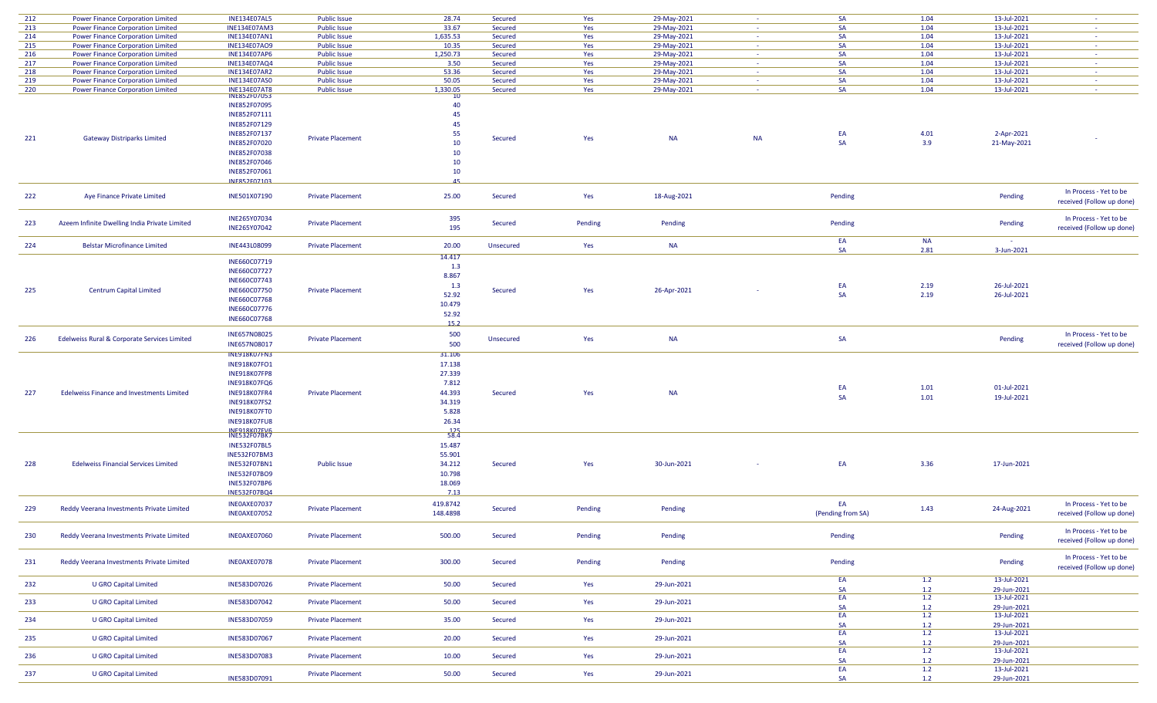| 212 | <b>Power Finance Corporation Limited</b>         | <b>INE134E07AL5</b>                        | <b>Public Issue</b>      | 28.74                       | Secured   | Yes     | 29-May-2021 | $\sim$          | <b>SA</b>               | 1.04       | 13-Jul-2021                | $\sim$                                              |
|-----|--------------------------------------------------|--------------------------------------------|--------------------------|-----------------------------|-----------|---------|-------------|-----------------|-------------------------|------------|----------------------------|-----------------------------------------------------|
| 213 | <b>Power Finance Corporation Limited</b>         | <b>INE134E07AM3</b>                        | <b>Public Issue</b>      | 33.67                       | Secured   | Yes     | 29-May-2021 | $\sim$          | SA                      | 1.04       | 13-Jul-2021                | $\sim$                                              |
| 214 | <b>Power Finance Corporation Limited</b>         | <b>INE134E07AN1</b>                        | <b>Public Issue</b>      | 1,635.53                    | Secured   | Yes     | 29-May-2021 | $\sim$          | SA                      | 1.04       | 13-Jul-2021                | $\sim$                                              |
| 215 | <b>Power Finance Corporation Limited</b>         | <b>INE134E07AO9</b>                        | <b>Public Issue</b>      | 10.35                       | Secured   | Yes     | 29-May-2021 | $\sim$          | SA                      | 1.04       | 13-Jul-2021                | $\sim$                                              |
| 216 | <b>Power Finance Corporation Limited</b>         | <b>INE134E07AP6</b>                        | <b>Public Issue</b>      | 1,250.73                    | Secured   | Yes     | 29-May-2021 | $\sim$          | <b>SA</b>               | 1.04       | 13-Jul-2021                | $\sim$                                              |
| 217 | <b>Power Finance Corporation Limited</b>         | <b>INE134E07AQ4</b>                        | <b>Public Issue</b>      | 3.50                        | Secured   | Yes     | 29-May-2021 | <b>Contract</b> | SA                      | 1.04       | 13-Jul-2021                | $\sim$                                              |
| 218 | <b>Power Finance Corporation Limited</b>         | <b>INE134E07AR2</b>                        | <b>Public Issue</b>      | 53.36                       | Secured   | Yes     | 29-May-2021 | $\sim 10^{-1}$  | <b>SA</b>               | 1.04       | 13-Jul-2021                | <b>Section</b>                                      |
| 219 | <b>Power Finance Corporation Limited</b>         | <b>INE134E07AS0</b>                        | <b>Public Issue</b>      | 50.05                       | Secured   | Yes     | 29-May-2021 | $\sim$          | SA                      | 1.04       | 13-Jul-2021                | $\sim$                                              |
| 220 | <b>Power Finance Corporation Limited</b>         | <b>INE134E07AT8</b><br><b>INE852F07053</b> | <b>Public Issue</b>      | 1,330.05<br>$\overline{10}$ | Secured   | Yes     | 29-May-2021 | $\Delta \phi$   | SA                      | 1.04       | 13-Jul-2021                | $\sim$                                              |
|     |                                                  | INE852F07095                               |                          | 40                          |           |         |             |                 |                         |            |                            |                                                     |
|     |                                                  | INE852F07111                               |                          | 45                          |           |         |             |                 |                         |            |                            |                                                     |
|     |                                                  | INE852F07129                               |                          | 45                          |           |         |             |                 |                         |            |                            |                                                     |
|     |                                                  | INE852F07137                               |                          | 55                          |           |         |             |                 | EA                      | 4.01       | 2-Apr-2021                 |                                                     |
| 221 | <b>Gateway Distriparks Limited</b>               | INE852F07020                               | <b>Private Placement</b> | 10                          | Secured   | Yes     | NA          | <b>NA</b>       | <b>SA</b>               | 3.9        | 21-May-2021                |                                                     |
|     |                                                  | INE852F07038                               |                          | 10                          |           |         |             |                 |                         |            |                            |                                                     |
|     |                                                  | INE852F07046                               |                          | 10                          |           |         |             |                 |                         |            |                            |                                                     |
|     |                                                  |                                            |                          | 10                          |           |         |             |                 |                         |            |                            |                                                     |
|     |                                                  | INE852F07061<br><b>INFR52F07103</b>        |                          |                             |           |         |             |                 |                         |            |                            |                                                     |
|     |                                                  |                                            |                          |                             |           |         |             |                 |                         |            |                            |                                                     |
| 222 | Aye Finance Private Limited                      | INE501X07190                               | <b>Private Placement</b> | 25.00                       | Secured   | Yes     | 18-Aug-2021 |                 | Pending                 |            | Pending                    | In Process - Yet to be<br>received (Follow up done) |
|     |                                                  | INE265Y07034                               |                          | 395                         |           |         |             |                 |                         |            |                            | In Process - Yet to be                              |
| 223 | Azeem Infinite Dwelling India Private Limited    | INE265Y07042                               | <b>Private Placement</b> | 195                         | Secured   | Pending | Pending     |                 | Pending                 |            | Pending                    | received (Follow up done)                           |
|     |                                                  |                                            |                          |                             |           |         |             |                 |                         |            |                            |                                                     |
| 224 | <b>Belstar Microfinance Limited</b>              | INE443L08099                               | <b>Private Placement</b> | 20.00                       | Unsecured | Yes     | <b>NA</b>   |                 | EA                      | <b>NA</b>  |                            |                                                     |
|     |                                                  |                                            |                          | 14.417                      |           |         |             |                 | SA                      | 2.81       | 3-Jun-2021                 |                                                     |
|     |                                                  | INE660C07719                               |                          | 1.3                         |           |         |             |                 |                         |            |                            |                                                     |
|     |                                                  | INE660C07727                               |                          | 8.867                       |           |         |             |                 |                         |            |                            |                                                     |
|     |                                                  | INE660C07743                               |                          | 1.3                         |           |         |             |                 | EA                      | 2.19       | 26-Jul-2021                |                                                     |
| 225 | <b>Centrum Capital Limited</b>                   | INE660C07750                               | <b>Private Placement</b> | 52.92                       | Secured   | Yes     | 26-Apr-2021 |                 | <b>SA</b>               | 2.19       | 26-Jul-2021                |                                                     |
|     |                                                  | INE660C07768                               |                          | 10.479                      |           |         |             |                 |                         |            |                            |                                                     |
|     |                                                  | INE660C07776                               |                          | 52.92                       |           |         |             |                 |                         |            |                            |                                                     |
|     |                                                  | INE660C07768                               |                          | 152                         |           |         |             |                 |                         |            |                            |                                                     |
|     |                                                  |                                            |                          |                             |           |         |             |                 |                         |            |                            |                                                     |
| 226 | Edelweiss Rural & Corporate Services Limited     | INE657N08025                               | <b>Private Placement</b> | 500                         | Unsecured | Yes     | <b>NA</b>   |                 | SA                      |            | Pending                    | In Process - Yet to be                              |
|     |                                                  | INE657N08017                               |                          | 500                         |           |         |             |                 |                         |            |                            | received (Follow up done)                           |
|     |                                                  | <b>INE918K07FN3</b>                        |                          | 31.106                      |           |         |             |                 |                         |            |                            |                                                     |
|     |                                                  | <b>INE918K07FO1</b>                        |                          | 17.138                      |           |         |             |                 |                         |            |                            |                                                     |
|     |                                                  | <b>INE918K07FP8</b>                        |                          | 27.339                      |           |         |             |                 |                         |            |                            |                                                     |
|     |                                                  | INE918K07FQ6                               |                          | 7.812                       |           |         |             |                 | EA                      | 1.01       | 01-Jul-2021                |                                                     |
| 227 | <b>Edelweiss Finance and Investments Limited</b> | <b>INE918K07FR4</b>                        | <b>Private Placement</b> | 44.393                      | Secured   | Yes     | NA          |                 | SA                      | 1.01       | 19-Jul-2021                |                                                     |
|     |                                                  | <b>INE918K07FS2</b>                        |                          | 34.319                      |           |         |             |                 |                         |            |                            |                                                     |
|     |                                                  | INE918K07FT0                               |                          | 5.828                       |           |         |             |                 |                         |            |                            |                                                     |
|     |                                                  | INE918K07FU8                               |                          | 26.34                       |           |         |             |                 |                         |            |                            |                                                     |
|     |                                                  | INF918K07EV6<br>INE532F07BK7               |                          | $\frac{125}{58.4}$          |           |         |             |                 |                         |            |                            |                                                     |
|     |                                                  | <b>INE532F07BL5</b>                        |                          | 15.487                      |           |         |             |                 |                         |            |                            |                                                     |
|     |                                                  | <b>INE532F07BM3</b>                        |                          | 55.901                      |           |         |             |                 |                         |            |                            |                                                     |
|     | <b>Edelweiss Financial Services Limited</b>      |                                            |                          |                             |           |         |             |                 |                         |            | 17-Jun-2021                |                                                     |
| 228 |                                                  | <b>INE532F07BN1</b>                        | <b>Public Issue</b>      | 34.212<br>10.798            | Secured   | Yes     | 30-Jun-2021 |                 | EA                      | 3.36       |                            |                                                     |
|     |                                                  | <b>INE532F07BO9</b>                        |                          |                             |           |         |             |                 |                         |            |                            |                                                     |
|     |                                                  | <b>INE532F07BP6</b>                        |                          | 18.069<br>7.13              |           |         |             |                 |                         |            |                            |                                                     |
|     |                                                  | <b>INE532F07BQ4</b>                        |                          |                             |           |         |             |                 |                         |            |                            |                                                     |
| 229 | Reddy Veerana Investments Private Limited        | INEOAXE07037<br>INEOAXE07052               | <b>Private Placement</b> | 419.8742<br>148.4898        | Secured   | Pending | Pending     |                 | EA<br>(Pending from SA) | 1.43       | 24-Aug-2021                | In Process - Yet to be<br>received (Follow up done) |
| 230 | Reddy Veerana Investments Private Limited        | INEOAXE07060                               | <b>Private Placement</b> | 500.00                      | Secured   | Pending | Pending     |                 | Pending                 |            | Pending                    | In Process - Yet to be<br>received (Follow up done) |
| 231 | Reddy Veerana Investments Private Limited        | INEOAXE07078                               | <b>Private Placement</b> | 300.00                      | Secured   | Pending | Pending     |                 | Pending                 |            | Pending                    | In Process - Yet to be<br>received (Follow up done) |
| 232 | <b>U GRO Capital Limited</b>                     | INE583D07026                               | <b>Private Placement</b> | 50.00                       | Secured   | Yes     | 29-Jun-2021 |                 | EA<br>SA                | 1.2<br>1.2 | 13-Jul-2021<br>29-Jun-2021 |                                                     |
| 233 | <b>U GRO Capital Limited</b>                     | INE583D07042                               | <b>Private Placement</b> | 50.00                       | Secured   | Yes     | 29-Jun-2021 |                 | EA<br>SA                | 1.2<br>1.2 | 13-Jul-2021<br>29-Jun-2021 |                                                     |
| 234 | U GRO Capital Limited                            | INE583D07059                               | <b>Private Placement</b> | 35.00                       | Secured   | Yes     | 29-Jun-2021 |                 | EA<br>SA                | 1.2<br>1.2 | 13-Jul-2021<br>29-Jun-2021 |                                                     |
| 235 | <b>U GRO Capital Limited</b>                     | INE583D07067                               | <b>Private Placement</b> | 20.00                       | Secured   | Yes     | 29-Jun-2021 |                 | EA<br>SA                | 1.2<br>1.2 | 13-Jul-2021<br>29-Jun-2021 |                                                     |
| 236 | <b>U GRO Capital Limited</b>                     | INE583D07083                               | <b>Private Placement</b> | 10.00                       | Secured   | Yes     | 29-Jun-2021 |                 | EA<br>SA                | 1.2<br>1.2 | 13-Jul-2021<br>29-Jun-2021 |                                                     |
| 237 | <b>U GRO Capital Limited</b>                     | INE583D07091                               | <b>Private Placement</b> | 50.00                       | Secured   | Yes     | 29-Jun-2021 |                 | EA<br>SA                | 1.2<br>1.2 | 13-Jul-2021<br>29-Jun-2021 |                                                     |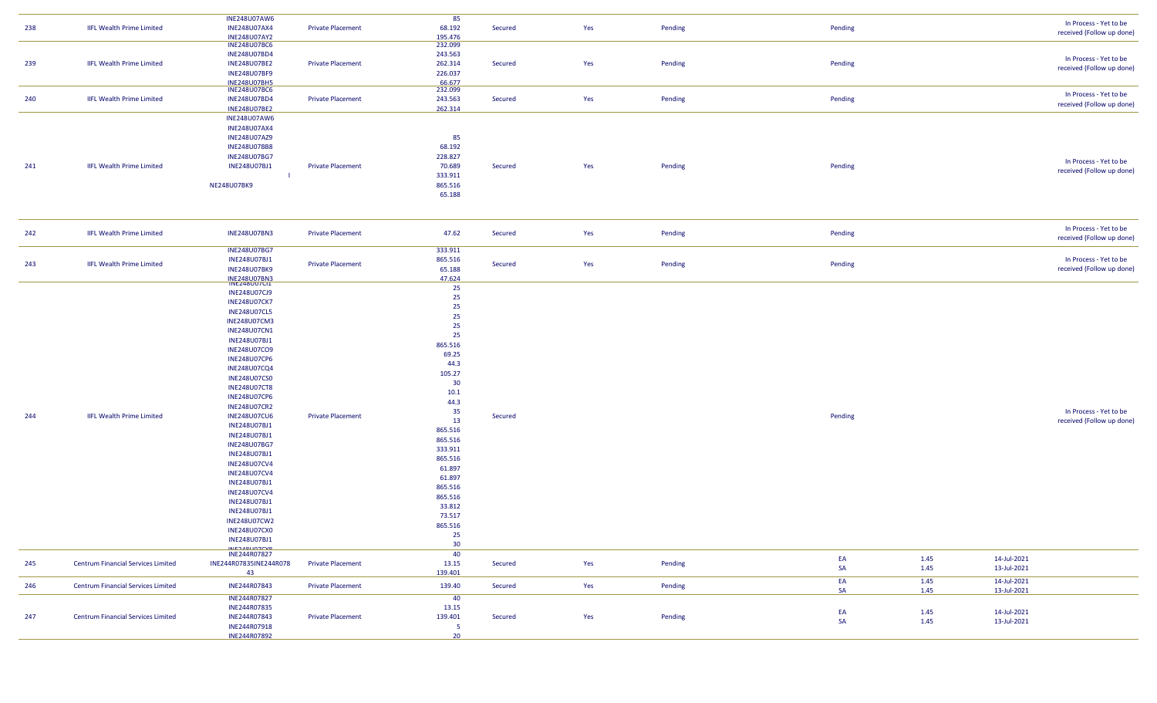|     |                                           | <b>INE248U07AW6</b>                        |                          | 85                        |         |     |         |                 |              |                            | In Process - Yet to be    |
|-----|-------------------------------------------|--------------------------------------------|--------------------------|---------------------------|---------|-----|---------|-----------------|--------------|----------------------------|---------------------------|
| 238 | <b>IIFL Wealth Prime Limited</b>          | <b>INE248U07AX4</b>                        | <b>Private Placement</b> | 68.192                    | Secured | Yes | Pending | Pending         |              |                            | received (Follow up done) |
|     |                                           | <b>INE248U07AY2</b>                        |                          | 195.476                   |         |     |         |                 |              |                            |                           |
|     |                                           | <b>INE248U07BC6</b>                        |                          | 232.099<br>243.563        |         |     |         |                 |              |                            |                           |
| 239 | <b>IIFL Wealth Prime Limited</b>          | <b>INE248U07BD4</b><br><b>INE248U07BE2</b> | <b>Private Placement</b> | 262.314                   | Secured | Yes | Pending | Pending         |              |                            | In Process - Yet to be    |
|     |                                           | <b>INE248U07BF9</b>                        |                          | 226.037                   |         |     |         |                 |              |                            | received (Follow up done) |
|     |                                           | <b>INE248U07BH5</b>                        |                          | 66.677                    |         |     |         |                 |              |                            |                           |
|     |                                           | <b>INE248U07BC6</b>                        |                          | 232.099                   |         |     |         |                 |              |                            | In Process - Yet to be    |
| 240 | <b>IIFL Wealth Prime Limited</b>          | <b>INE248U07BD4</b>                        | <b>Private Placement</b> | 243.563                   | Secured | Yes | Pending | Pending         |              |                            | received (Follow up done) |
|     |                                           | <b>INE248U07BE2</b>                        |                          | 262.314                   |         |     |         |                 |              |                            |                           |
|     |                                           | <b>INE248U07AW6</b>                        |                          |                           |         |     |         |                 |              |                            |                           |
|     |                                           | <b>INE248U07AX4</b>                        |                          |                           |         |     |         |                 |              |                            |                           |
|     |                                           | <b>INE248U07AZ9</b>                        |                          | 85                        |         |     |         |                 |              |                            |                           |
|     |                                           | <b>INE248U07BB8</b>                        |                          | 68.192                    |         |     |         |                 |              |                            |                           |
| 241 | <b>IIFL Wealth Prime Limited</b>          | <b>INE248U07BG7</b><br><b>INE248U07BJ1</b> | <b>Private Placement</b> | 228.827<br>70.689         | Secured |     | Pending | Pending         |              |                            | In Process - Yet to be    |
|     |                                           | $\mathbf{L}$                               |                          | 333.911                   |         | Yes |         |                 |              |                            | received (Follow up done) |
|     |                                           | <b>NE248U07BK9</b>                         |                          | 865.516                   |         |     |         |                 |              |                            |                           |
|     |                                           |                                            |                          | 65.188                    |         |     |         |                 |              |                            |                           |
|     |                                           |                                            |                          |                           |         |     |         |                 |              |                            |                           |
|     |                                           |                                            |                          |                           |         |     |         |                 |              |                            |                           |
| 242 | <b>IIFL Wealth Prime Limited</b>          | <b>INE248U07BN3</b>                        | <b>Private Placement</b> | 47.62                     | Secured | Yes | Pending | Pending         |              |                            | In Process - Yet to be    |
|     |                                           |                                            |                          |                           |         |     |         |                 |              |                            | received (Follow up done) |
|     |                                           | <b>INE248U07BG7</b>                        |                          | 333.911                   |         |     |         |                 |              |                            |                           |
| 243 | <b>IIFL Wealth Prime Limited</b>          | INE248U07BJ1<br><b>INE248U07BK9</b>        | <b>Private Placement</b> | 865.516<br>65.188         | Secured | Yes | Pending | Pending         |              |                            | In Process - Yet to be    |
|     |                                           |                                            |                          | 47.624                    |         |     |         |                 |              |                            | received (Follow up done) |
|     |                                           | INE248U07BN3                               |                          | 25                        |         |     |         |                 |              |                            |                           |
|     |                                           | <b>INE248U07CJ9</b>                        |                          | 25                        |         |     |         |                 |              |                            |                           |
|     |                                           | <b>INE248U07CK7</b>                        |                          | 25                        |         |     |         |                 |              |                            |                           |
|     |                                           | <b>INE248U07CL5</b><br><b>INE248U07CM3</b> |                          | 25                        |         |     |         |                 |              |                            |                           |
|     |                                           | <b>INE248U07CN1</b>                        |                          | 25                        |         |     |         |                 |              |                            |                           |
|     |                                           | <b>INE248U07BJ1</b>                        |                          | 25                        |         |     |         |                 |              |                            |                           |
|     |                                           | <b>INE248U07CO9</b>                        |                          | 865.516                   |         |     |         |                 |              |                            |                           |
|     |                                           | <b>INE248U07CP6</b>                        |                          | 69.25                     |         |     |         |                 |              |                            |                           |
|     |                                           | <b>INE248U07CQ4</b>                        |                          | 44.3                      |         |     |         |                 |              |                            |                           |
|     |                                           | <b>INE248U07CS0</b>                        |                          | 105.27                    |         |     |         |                 |              |                            |                           |
|     |                                           | <b>INE248U07CT8</b>                        |                          | 30<br>10.1                |         |     |         |                 |              |                            |                           |
|     |                                           | <b>INE248U07CP6</b>                        |                          | 44.3                      |         |     |         |                 |              |                            |                           |
|     |                                           | <b>INE248U07CR2</b>                        |                          | 35                        |         |     |         |                 |              |                            | In Process - Yet to be    |
| 244 | <b>IIFL Wealth Prime Limited</b>          | <b>INE248U07CU6</b>                        | <b>Private Placement</b> | 13                        | Secured |     |         | Pending         |              |                            | received (Follow up done) |
|     |                                           | INE248U07BJ1                               |                          | 865.516                   |         |     |         |                 |              |                            |                           |
|     |                                           | INE248U07BJ1                               |                          | 865.516                   |         |     |         |                 |              |                            |                           |
|     |                                           | <b>INE248U07BG7</b>                        |                          | 333.911                   |         |     |         |                 |              |                            |                           |
|     |                                           | <b>INE248U07BJ1</b><br><b>INE248U07CV4</b> |                          | 865.516                   |         |     |         |                 |              |                            |                           |
|     |                                           | <b>INE248U07CV4</b>                        |                          | 61.897                    |         |     |         |                 |              |                            |                           |
|     |                                           | INE248U07BJ1                               |                          | 61.897                    |         |     |         |                 |              |                            |                           |
|     |                                           | <b>INE248U07CV4</b>                        |                          | 865.516                   |         |     |         |                 |              |                            |                           |
|     |                                           | INE248U07BJ1                               |                          | 865.516                   |         |     |         |                 |              |                            |                           |
|     |                                           | <b>INE248U07BJ1</b>                        |                          | 33.812<br>73.517          |         |     |         |                 |              |                            |                           |
|     |                                           | <b>INE248U07CW2</b>                        |                          | 865.516                   |         |     |         |                 |              |                            |                           |
|     |                                           | INE248U07CX0                               |                          | 25                        |         |     |         |                 |              |                            |                           |
|     |                                           | <b>INE248U07BJ1</b>                        |                          | 30                        |         |     |         |                 |              |                            |                           |
|     |                                           | INFO 481107018                             |                          | 40                        |         |     |         |                 |              |                            |                           |
| 245 | <b>Centrum Financial Services Limited</b> | INE244R07835INE244R078                     | <b>Private Placement</b> | 13.15                     | Secured | Yes | Pending | EA<br>SA        | 1.45<br>1.45 | 14-Jul-2021<br>13-Jul-2021 |                           |
|     |                                           | 43                                         |                          | 139.401                   |         |     |         |                 |              |                            |                           |
| 246 | <b>Centrum Financial Services Limited</b> | INE244R07843                               | <b>Private Placement</b> | 139.40                    | Secured | Yes | Pending | EA<br><b>SA</b> | 1.45<br>1.45 | 14-Jul-2021<br>13-Jul-2021 |                           |
|     |                                           | <b>INE244R07827</b>                        |                          | 40                        |         |     |         |                 |              |                            |                           |
|     |                                           | INE244R07835                               |                          | 13.15                     |         |     |         | EA              | 1.45         | 14-Jul-2021                |                           |
| 247 | <b>Centrum Financial Services Limited</b> | INE244R07843<br>INE244R07918               | <b>Private Placement</b> | 139.401<br>5 <sub>5</sub> | Secured | Yes | Pending | SA              | 1.45         | 13-Jul-2021                |                           |
|     |                                           | INE244R07892                               |                          | 20                        |         |     |         |                 |              |                            |                           |
|     |                                           |                                            |                          |                           |         |     |         |                 |              |                            |                           |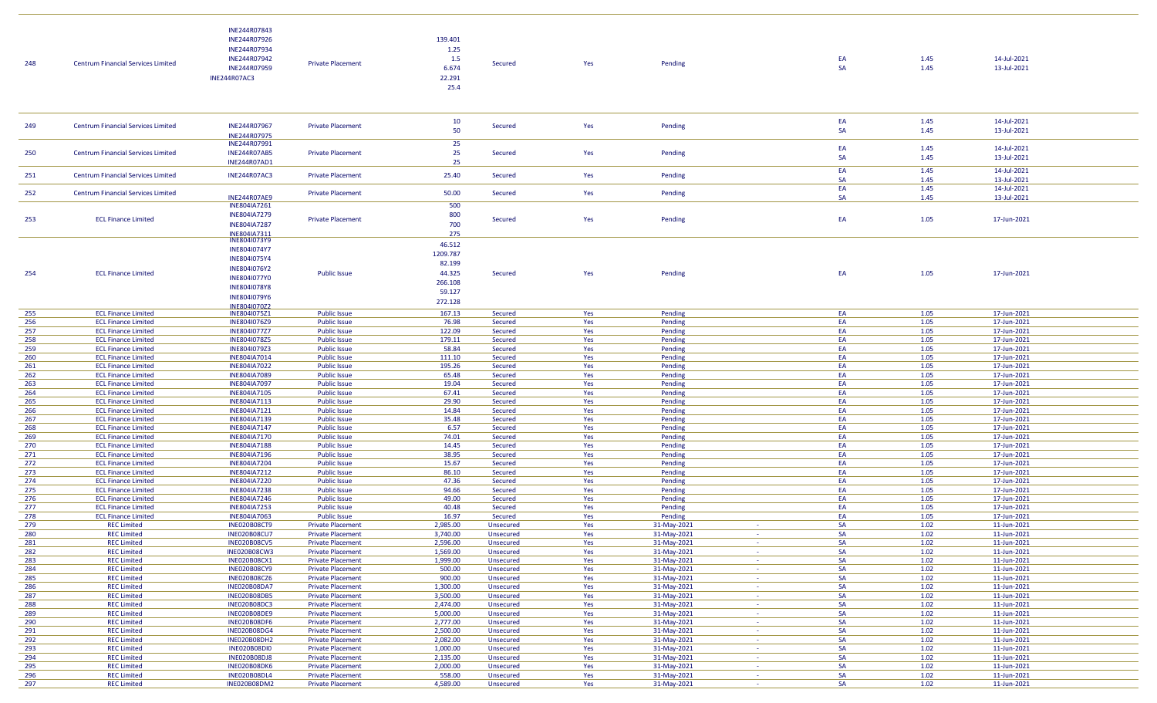| <b>Centrum Financial Services Limited</b><br>248 | INE244R07843<br>INE244R07926<br>INE244R07934<br>INE244R07942<br>INE244R07959<br><b>INE244R07AC3</b> | <b>Private Placement</b> | 139.401<br>1.25<br>1.5<br>6.674<br>22.291<br>25.4 | Secured | Yes | Pending |  | $\sim$ $\sim$ | 1.45<br>1.45 | 14-Jul-2021<br>13-Jul-2021 |  |
|--------------------------------------------------|-----------------------------------------------------------------------------------------------------|--------------------------|---------------------------------------------------|---------|-----|---------|--|---------------|--------------|----------------------------|--|
|--------------------------------------------------|-----------------------------------------------------------------------------------------------------|--------------------------|---------------------------------------------------|---------|-----|---------|--|---------------|--------------|----------------------------|--|

|     |                                           |                              |                          | 10       |                |     |             |          | EA        | 1.45 | 14-Jul-2021 |  |
|-----|-------------------------------------------|------------------------------|--------------------------|----------|----------------|-----|-------------|----------|-----------|------|-------------|--|
| 249 | <b>Centrum Financial Services Limited</b> | INE244R07967                 | <b>Private Placement</b> | 50       | Secured        | Yes | Pending     |          | SA        | 1.45 | 13-Jul-2021 |  |
|     |                                           | INE244R07975                 |                          |          |                |     |             |          |           |      |             |  |
|     |                                           | INE244R07991                 |                          | 25       |                |     |             |          |           |      |             |  |
| 250 | <b>Centrum Financial Services Limited</b> | <b>INE244R07AB5</b>          | <b>Private Placement</b> | 25       | <b>Secured</b> | Yes | Pending     |          | EA        | 1.45 | 14-Jul-2021 |  |
|     |                                           | <b>INE244R07AD1</b>          |                          | 25       |                |     |             |          | <b>SA</b> | 1.45 | 13-Jul-2021 |  |
|     |                                           |                              |                          |          |                |     |             |          | EA        | 1.45 | 14-Jul-2021 |  |
| 251 | <b>Centrum Financial Services Limited</b> | <b>INE244R07AC3</b>          | <b>Private Placement</b> | 25.40    | Secured        | Yes | Pending     |          |           |      |             |  |
|     |                                           |                              |                          |          |                |     |             |          | <b>SA</b> | 1.45 | 13-Jul-2021 |  |
| 252 | <b>Centrum Financial Services Limited</b> |                              | <b>Private Placement</b> | 50.00    | Secured        | Yes | Pending     |          | EA        | 1.45 | 14-Jul-2021 |  |
|     |                                           | <b>INE244R07AE9</b>          |                          |          |                |     |             |          | <b>SA</b> | 1.45 | 13-Jul-2021 |  |
|     |                                           | INE804IA7261                 |                          | 500      |                |     |             |          |           |      |             |  |
|     |                                           | <b>INE804IA7279</b>          |                          | 800      |                |     |             |          |           |      |             |  |
| 253 | <b>ECL Finance Limited</b>                | INE804IA7287                 | <b>Private Placement</b> | 700      | Secured        | Yes | Pending     |          | EA        | 1.05 | 17-Jun-2021 |  |
|     |                                           |                              |                          | 275      |                |     |             |          |           |      |             |  |
|     |                                           | INE804IA7311<br>INE804I073Y9 |                          |          |                |     |             |          |           |      |             |  |
|     |                                           | INE804I074Y7                 |                          | 46.512   |                |     |             |          |           |      |             |  |
|     |                                           |                              |                          | 1209.787 |                |     |             |          |           |      |             |  |
|     |                                           | INE804I075Y4                 |                          | 82.199   |                |     |             |          |           |      |             |  |
| 254 | <b>ECL Finance Limited</b>                | INE804I076Y2                 | <b>Public Issue</b>      | 44.325   | Secured        | Yes | Pending     |          | EA        | 1.05 | 17-Jun-2021 |  |
|     |                                           | INE804I077Y0                 |                          |          |                |     |             |          |           |      |             |  |
|     |                                           | INE804I078Y8                 |                          | 266.108  |                |     |             |          |           |      |             |  |
|     |                                           | INE804I079Y6                 |                          | 59.127   |                |     |             |          |           |      |             |  |
|     |                                           |                              |                          | 272.128  |                |     |             |          |           |      |             |  |
|     |                                           | <b>INF804I07072</b>          |                          |          |                |     |             |          |           |      |             |  |
| 255 | <b>ECL Finance Limited</b>                | INE804I075Z1                 | <b>Public Issue</b>      | 167.13   | Secured        | Yes | Pending     |          | EA        | 1.05 | 17-Jun-2021 |  |
| 256 | <b>ECL Finance Limited</b>                | INE804I076Z9                 | <b>Public Issue</b>      | 76.98    | Secured        | Yes | Pending     |          | EA        | 1.05 | 17-Jun-2021 |  |
| 257 | <b>ECL Finance Limited</b>                | INE804I077Z7                 | <b>Public Issue</b>      | 122.09   | Secured        | Yes | Pending     |          | EA        | 1.05 | 17-Jun-2021 |  |
| 258 | <b>ECL Finance Limited</b>                | INE8041078Z5                 | <b>Public Issue</b>      | 179.11   | Secured        | Yes | Pending     |          | EA        | 1.05 | 17-Jun-2021 |  |
| 259 | <b>ECL Finance Limited</b>                | INE804I079Z3                 | <b>Public Issue</b>      | 58.84    | Secured        | Yes | Pending     |          | EA        | 1.05 | 17-Jun-2021 |  |
| 260 | <b>ECL Finance Limited</b>                | INE804IA7014                 | <b>Public Issue</b>      | 111.10   | Secured        | Yes | Pending     |          | EA        | 1.05 | 17-Jun-2021 |  |
| 261 | <b>ECL Finance Limited</b>                | <b>INE804IA7022</b>          | <b>Public Issue</b>      | 195.26   | Secured        | Yes | Pending     |          | EA        | 1.05 | 17-Jun-2021 |  |
| 262 | <b>ECL Finance Limited</b>                | INE804IA7089                 | <b>Public Issue</b>      | 65.48    | Secured        | Yes | Pending     |          | EA        | 1.05 | 17-Jun-2021 |  |
| 263 | <b>ECL Finance Limited</b>                | INE804IA7097                 | <b>Public Issue</b>      | 19.04    | Secured        | Yes | Pending     |          | EA        | 1.05 | 17-Jun-2021 |  |
| 264 | <b>ECL Finance Limited</b>                | <b>INE804IA7105</b>          | <b>Public Issue</b>      | 67.41    |                |     |             |          | EA        | 1.05 | 17-Jun-2021 |  |
|     |                                           |                              |                          |          | Secured        | Yes | Pending     |          |           |      |             |  |
| 265 | <b>ECL Finance Limited</b>                | <b>INE804IA7113</b>          | <b>Public Issue</b>      | 29.90    | Secured        | Yes | Pending     |          | EA        | 1.05 | 17-Jun-2021 |  |
| 266 | <b>ECL Finance Limited</b>                | INE804IA7121                 | <b>Public Issue</b>      | 14.84    | Secured        | Yes | Pending     |          | EA        | 1.05 | 17-Jun-2021 |  |
| 267 | <b>ECL Finance Limited</b>                | INE804IA7139                 | <b>Public Issue</b>      | 35.48    | Secured        | Yes | Pending     |          | EA        | 1.05 | 17-Jun-2021 |  |
| 268 | <b>ECL Finance Limited</b>                | INE804IA7147                 | <b>Public Issue</b>      | 6.57     | Secured        | Yes | Pending     |          | EA        | 1.05 | 17-Jun-2021 |  |
| 269 | <b>ECL Finance Limited</b>                | <b>INE804IA7170</b>          | <b>Public Issue</b>      | 74.01    | Secured        | Yes | Pending     |          | EA        | 1.05 | 17-Jun-2021 |  |
| 270 | <b>ECL Finance Limited</b>                | INE804IA7188                 | <b>Public Issue</b>      | 14.45    | Secured        | Yes | Pending     |          | EA        | 1.05 | 17-Jun-2021 |  |
| 271 | <b>ECL Finance Limited</b>                | <b>INE804IA7196</b>          | <b>Public Issue</b>      | 38.95    | Secured        | Yes | Pending     |          | EA        | 1.05 | 17-Jun-2021 |  |
| 272 | <b>ECL Finance Limited</b>                | INE804IA7204                 | <b>Public Issue</b>      | 15.67    | Secured        | Yes | Pending     |          | EA        | 1.05 | 17-Jun-2021 |  |
| 273 | <b>ECL Finance Limited</b>                | INE804IA7212                 | <b>Public Issue</b>      | 86.10    |                |     | Pending     |          | EA        | 1.05 |             |  |
|     |                                           |                              |                          |          | Secured        | Yes |             |          | EA        |      | 17-Jun-2021 |  |
| 274 | <b>ECL Finance Limited</b>                | <b>INE804IA7220</b>          | <b>Public Issue</b>      | 47.36    | Secured        | Yes | Pending     |          |           | 1.05 | 17-Jun-2021 |  |
| 275 | <b>ECL Finance Limited</b>                | INE804IA7238                 | <b>Public Issue</b>      | 94.66    | Secured        | Yes | Pending     |          | EA        | 1.05 | 17-Jun-2021 |  |
| 276 | <b>ECL Finance Limited</b>                | <b>INE804IA7246</b>          | <b>Public Issue</b>      | 49.00    | Secured        | Yes | Pending     |          | EA        | 1.05 | 17-Jun-2021 |  |
| 277 | <b>ECL Finance Limited</b>                | INE804IA7253                 | Public Issue             | 40.48    | Secured        | Yes | Pending     |          | EA        | 1.05 | 17-Jun-2021 |  |
| 278 | <b>ECL Finance Limited</b>                | INE804IA7063                 | <b>Public Issue</b>      | 16.97    | Secured        | Yes | Pending     |          | EA        | 1.05 | 17-Jun-2021 |  |
| 279 | <b>REC Limited</b>                        | <b>INE020B08CT9</b>          | <b>Private Placement</b> | 2,985.00 | Unsecured      | Yes | 31-May-2021 | $\sim$   | <b>SA</b> | 1.02 | 11-Jun-2021 |  |
| 280 | <b>REC Limited</b>                        | <b>INE020B08CU7</b>          | <b>Private Placement</b> | 3,740.00 | Unsecured      | Yes | 31-May-2021 | $\sim$   | SA        | 1.02 | 11-Jun-2021 |  |
| 281 | <b>REC Limited</b>                        | <b>INE020B08CV5</b>          | <b>Private Placement</b> | 2,596.00 | Unsecured      | Yes | 31-May-2021 | $\sim$   | SA        | 1.02 | 11-Jun-2021 |  |
| 282 | <b>REC Limited</b>                        | <b>INE020B08CW3</b>          | <b>Private Placement</b> | 1,569.00 | Unsecured      | Yes | 31-May-2021 | $\sim$   | SA        | 1.02 | 11-Jun-2021 |  |
|     |                                           |                              |                          |          |                |     |             |          |           |      |             |  |
| 283 | <b>REC Limited</b>                        | <b>INE020B08CX1</b>          | <b>Private Placement</b> | 1,999.00 | Unsecured      | Yes | 31-May-2021 | $\sim$   | <b>SA</b> | 1.02 | 11-Jun-2021 |  |
| 284 | <b>REC Limited</b>                        | <b>INE020B08CY9</b>          | <b>Private Placement</b> | 500.00   | Unsecured      | Yes | 31-May-2021 | $\sim$   | <b>SA</b> | 1.02 | 11-Jun-2021 |  |
| 285 | <b>REC Limited</b>                        | <b>INE020B08CZ6</b>          | <b>Private Placement</b> | 900.00   | Unsecured      | Yes | 31-May-2021 |          | SA        | 1.02 | 11-Jun-2021 |  |
| 286 | <b>REC Limited</b>                        | <b>INE020B08DA7</b>          | <b>Private Placement</b> | 1,300.00 | Unsecured      | Yes | 31-May-2021 | $\sim$   | SA        | 1.02 | 11-Jun-2021 |  |
| 287 | <b>REC Limited</b>                        | <b>INE020B08DB5</b>          | <b>Private Placement</b> | 3,500.00 | Unsecured      | Yes | 31-May-2021 | $\sim$   | <b>SA</b> | 1.02 | 11-Jun-2021 |  |
| 288 | <b>REC Limited</b>                        | <b>INE020B08DC3</b>          | <b>Private Placement</b> | 2,474.00 | Unsecured      | Yes | 31-May-2021 | $\sim$   | SA        | 1.02 | 11-Jun-2021 |  |
| 289 | <b>REC Limited</b>                        | <b>INE020B08DE9</b>          | <b>Private Placement</b> | 5,000.00 | Unsecured      | Yes | 31-May-2021 | $\sim$   | <b>SA</b> | 1.02 | 11-Jun-2021 |  |
| 290 | <b>REC Limited</b>                        | <b>INE020B08DF6</b>          | <b>Private Placement</b> | 2,777.00 | Unsecured      | Yes | 31-May-2021 | $\sim$   | SA        | 1.02 | 11-Jun-2021 |  |
|     | <b>REC Limited</b>                        | <b>INE020B08DG4</b>          |                          |          |                |     |             | $\Delta$ | <b>SA</b> | 1.02 |             |  |
| 291 |                                           |                              | <b>Private Placement</b> | 2,500.00 | Unsecured      | Yes | 31-May-2021 |          |           |      | 11-Jun-2021 |  |
| 292 | <b>REC Limited</b>                        | <b>INE020B08DH2</b>          | <b>Private Placement</b> | 2,082.00 | Unsecured      | Yes | 31-May-2021 | $\sim$   | SA        | 1.02 | 11-Jun-2021 |  |
| 293 | <b>REC Limited</b>                        | <b>INE020B08DI0</b>          | <b>Private Placement</b> | 1,000.00 | Unsecured      | Yes | 31-May-2021 | $\sim$   | SA        | 1.02 | 11-Jun-2021 |  |
| 294 | <b>REC Limited</b>                        | <b>INE020B08DJ8</b>          | <b>Private Placement</b> | 2,135.00 | Unsecured      | Yes | 31-May-2021 | $\sim$   | SA        | 1.02 | 11-Jun-2021 |  |
| 295 | <b>REC Limited</b>                        | <b>INE020B08DK6</b>          | <b>Private Placement</b> | 2,000.00 | Unsecured      | Yes | 31-May-2021 | $\sim$   | <b>SA</b> | 1.02 | 11-Jun-2021 |  |
| 296 | <b>REC Limited</b>                        | <b>INE020B08DL4</b>          | <b>Private Placement</b> | 558.00   | Unsecured      | Yes | 31-May-2021 | $\sim$   | SA        | 1.02 | 11-Jun-2021 |  |
| 297 | <b>REC Limited</b>                        | <b>INE020B08DM2</b>          | <b>Private Placement</b> | 4,589.00 | Unsecured      | Yes | 31-May-2021 |          | <b>SA</b> | 1.02 | 11-Jun-2021 |  |
|     |                                           |                              |                          |          |                |     |             |          |           |      |             |  |